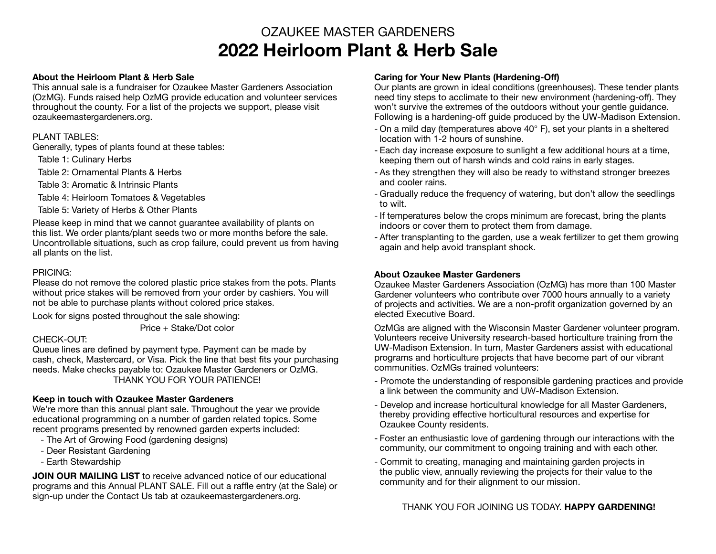# OZAUKEE MASTER GARDENERS **2022 Heirloom Plant & Herb Sale**

#### **About the Heirloom Plant & Herb Sale**

This annual sale is a fundraiser for Ozaukee Master Gardeners Association (OzMG). Funds raised help OzMG provide education and volunteer services throughout the county. For a list of the projects we support, please visit ozaukeemastergardeners.org.

#### PLANT TABLES:

Generally, types of plants found at these tables:

Table 1: Culinary Herbs

Table 2: Ornamental Plants & Herbs

Table 3: Aromatic & Intrinsic Plants

Table 4: Heirloom Tomatoes & Vegetables

Table 5: Variety of Herbs & Other Plants

Please keep in mind that we cannot guarantee availability of plants on this list. We order plants/plant seeds two or more months before the sale. Uncontrollable situations, such as crop failure, could prevent us from having all plants on the list.

#### PRICING:

Please do not remove the colored plastic price stakes from the pots. Plants without price stakes will be removed from your order by cashiers. You will not be able to purchase plants without colored price stakes.

Look for signs posted throughout the sale showing:

Price + Stake/Dot color

# CHECK-OUT<sup>-</sup>

Queue lines are defined by payment type. Payment can be made by cash, check, Mastercard, or Visa. Pick the line that best fits your purchasing needs. Make checks payable to: Ozaukee Master Gardeners or OzMG. THANK YOU FOR YOUR PATIENCE!

# **Keep in touch with Ozaukee Master Gardeners**

We're more than this annual plant sale. Throughout the year we provide educational programming on a number of garden related topics. Some recent programs presented by renowned garden experts included:

- The Art of Growing Food (gardening designs)
- Deer Resistant Gardening
- Earth Stewardship

**JOIN OUR MAILING LIST** to receive advanced notice of our educational programs and this Annual PLANT SALE. Fill out a raffle entry (at the Sale) or sign-up under the Contact Us tab at ozaukeemastergardeners.org.

#### **Caring for Your New Plants (Hardening-Off)**

Our plants are grown in ideal conditions (greenhouses). These tender plants need tiny steps to acclimate to their new environment (hardening-off). They won't survive the extremes of the outdoors without your gentle guidance. Following is a hardening-off guide produced by the UW-Madison Extension.

- On a mild day (temperatures above 40° F), set your plants in a sheltered location with 1-2 hours of sunshine.
- Each day increase exposure to sunlight a few additional hours at a time, keeping them out of harsh winds and cold rains in early stages.
- As they strengthen they will also be ready to withstand stronger breezes and cooler rains.
- Gradually reduce the frequency of watering, but don't allow the seedlings to wilt.
- If temperatures below the crops minimum are forecast, bring the plants indoors or cover them to protect them from damage.
- After transplanting to the garden, use a weak fertilizer to get them growing again and help avoid transplant shock.

# **About Ozaukee Master Gardeners**

Ozaukee Master Gardeners Association (OzMG) has more than 100 Master Gardener volunteers who contribute over 7000 hours annually to a variety of projects and activities. We are a non-profit organization governed by an elected Executive Board.

OzMGs are aligned with the Wisconsin Master Gardener volunteer program. Volunteers receive University research-based horticulture training from the UW-Madison Extension. In turn, Master Gardeners assist with educational programs and horticulture projects that have become part of our vibrant communities. OzMGs trained volunteers:

- Promote the understanding of responsible gardening practices and provide a link between the community and UW-Madison Extension.
- Develop and increase horticultural knowledge for all Master Gardeners, thereby providing effective horticultural resources and expertise for Ozaukee County residents.
- Foster an enthusiastic love of gardening through our interactions with the community, our commitment to ongoing training and with each other.
- Commit to creating, managing and maintaining garden projects in the public view, annually reviewing the projects for their value to the community and for their alignment to our mission.

# THANK YOU FOR JOINING US TODAY. **HAPPY GARDENING!**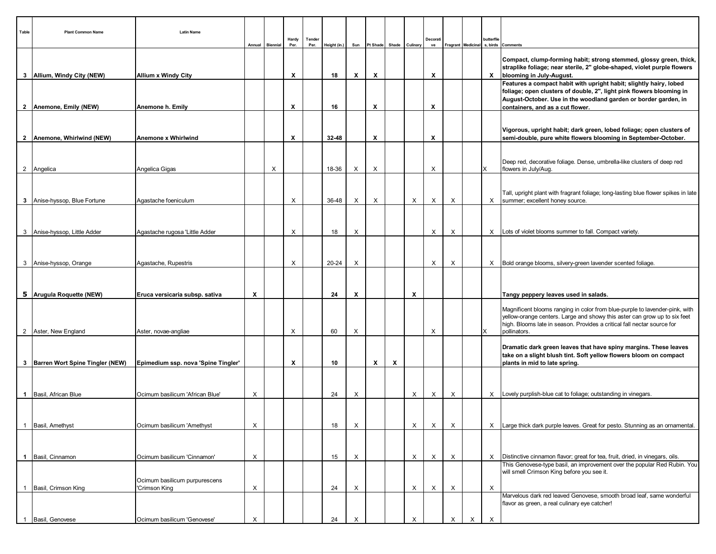| Table        | <b>Plant Common Name</b>            | <b>Latin Name</b>                   |   | Annual Biennial | Hardy<br>Per. | Tender<br>Per. | Height (in.) | Sun | Pt Shade                  | Shade | Culinary | Decorat<br>ve |          |   | butterflie                | Fragrant Medicinal s, birds Comments                                                                                                                                                                                                                |
|--------------|-------------------------------------|-------------------------------------|---|-----------------|---------------|----------------|--------------|-----|---------------------------|-------|----------|---------------|----------|---|---------------------------|-----------------------------------------------------------------------------------------------------------------------------------------------------------------------------------------------------------------------------------------------------|
|              | 3   Allium, Windy City (NEW)        | <b>Allium x Windy City</b>          |   |                 | X             |                | 18           | X   | $\boldsymbol{\mathsf{x}}$ |       |          | X             |          |   |                           | Compact, clump-forming habit; strong stemmed, glossy green, thick,<br>straplike foliage; near sterile, 2" globe-shaped, violet purple flowers<br>X   blooming in July-August.                                                                       |
|              |                                     |                                     |   |                 |               |                |              |     |                           |       |          |               |          |   |                           | Features a compact habit with upright habit; slightly hairy, lobed<br>foliage; open clusters of double, 2", light pink flowers blooming in<br>August-October. Use in the woodland garden or border garden, in                                       |
|              | 2   Anemone, Emily (NEW)            | Anemone h. Emily                    |   |                 | Х             |                | 16           |     | X                         |       |          | X             |          |   |                           | containers, and as a cut flower.                                                                                                                                                                                                                    |
|              | 2   Anemone, Whirlwind (NEW)        | Anemone x Whirlwind                 |   |                 | X             |                | 32-48        |     | $\boldsymbol{\mathsf{x}}$ |       |          | X             |          |   |                           | Vigorous, upright habit; dark green, lobed foliage; open clusters of<br>semi-double, pure white flowers blooming in September-October.                                                                                                              |
|              |                                     |                                     |   |                 |               |                |              |     |                           |       |          |               |          |   |                           | Deep red, decorative foliage. Dense, umbrella-like clusters of deep red                                                                                                                                                                             |
|              | 2 Angelica                          | Angelica Gigas                      |   | X               |               |                | 18-36        | X   | X                         |       |          | X             |          |   | ΙX                        | flowers in July/Aug.                                                                                                                                                                                                                                |
|              | 3 Anise-hyssop, Blue Fortune        | Agastache foeniculum                |   |                 | X             |                | 36-48        | X   | X                         |       | $\times$ | X             | $\times$ |   |                           | Tall, upright plant with fragrant foliage; long-lasting blue flower spikes in late<br>X   summer; excellent honey source.                                                                                                                           |
|              |                                     |                                     |   |                 |               |                |              |     |                           |       |          |               |          |   |                           |                                                                                                                                                                                                                                                     |
|              |                                     |                                     |   |                 |               |                |              |     |                           |       |          |               |          |   |                           |                                                                                                                                                                                                                                                     |
|              | 3 Anise-hyssop, Little Adder        | Agastache rugosa 'Little Adder      |   |                 | X             |                | 18           | X   |                           |       |          | X             | X        |   |                           | X   Lots of violet blooms summer to fall. Compact variety.                                                                                                                                                                                          |
|              |                                     |                                     |   |                 |               |                |              |     |                           |       |          |               |          |   |                           |                                                                                                                                                                                                                                                     |
|              | 3 Anise-hyssop, Orange              | Agastache, Rupestris                |   |                 | X             |                | 20-24        | X   |                           |       |          | X             | X        |   |                           | X   Bold orange blooms, silvery-green lavender scented foliage.                                                                                                                                                                                     |
|              |                                     |                                     |   |                 |               |                |              |     |                           |       |          |               |          |   |                           |                                                                                                                                                                                                                                                     |
|              | 5   Arugula Roquette (NEW)          | Eruca versicaria subsp. sativa      | X |                 |               |                | 24           | X   |                           |       | X        |               |          |   |                           | Tangy peppery leaves used in salads.                                                                                                                                                                                                                |
|              |                                     |                                     |   |                 |               |                |              |     |                           |       |          |               |          |   |                           |                                                                                                                                                                                                                                                     |
|              | 2 Aster, New England                | Aster, novae-angliae                |   |                 | X             |                | 60           | X   |                           |       |          | X             |          |   | X                         | Magnificent blooms ranging in color from blue-purple to lavender-pink, with<br>yellow-orange centers. Large and showy this aster can grow up to six feet<br>high. Blooms late in season. Provides a critical fall nectar source for<br>pollinators. |
|              |                                     |                                     |   |                 |               |                |              |     |                           |       |          |               |          |   |                           | Dramatic dark green leaves that have spiny margins. These leaves                                                                                                                                                                                    |
|              |                                     |                                     |   |                 |               |                |              |     |                           |       |          |               |          |   |                           | take on a slight blush tint. Soft yellow flowers bloom on compact                                                                                                                                                                                   |
|              | 3   Barren Wort Spine Tingler (NEW) | Epimedium ssp. nova 'Spine Tingler' |   |                 | X             |                | 10           |     | $\boldsymbol{\mathsf{x}}$ | X     |          |               |          |   |                           | plants in mid to late spring.                                                                                                                                                                                                                       |
|              |                                     |                                     |   |                 |               |                |              |     |                           |       |          |               |          |   |                           |                                                                                                                                                                                                                                                     |
|              | 1 Basil, African Blue               | Ocimum basilicum 'African Blue'     | Χ |                 |               |                | 24           | X   |                           |       | X        | X             | X        |   |                           | X   Lovely purplish-blue cat to foliage; outstanding in vinegars.                                                                                                                                                                                   |
|              |                                     |                                     |   |                 |               |                |              |     |                           |       |          |               |          |   |                           |                                                                                                                                                                                                                                                     |
|              | Basil, Amethyst                     | Ocimum basilicum 'Amethyst          | X |                 |               |                | 18           | X   |                           |       | $\times$ | X             | X        |   |                           | X   Large thick dark purple leaves. Great for pesto. Stunning as an ornamental.                                                                                                                                                                     |
|              |                                     |                                     |   |                 |               |                |              |     |                           |       |          |               |          |   |                           |                                                                                                                                                                                                                                                     |
|              |                                     |                                     |   |                 |               |                |              |     |                           |       |          |               |          |   |                           |                                                                                                                                                                                                                                                     |
|              | 1   Basil, Cinnamon                 | Ocimum basilicum 'Cinnamon'         | Х |                 |               |                | 15           | Х   |                           |       | X        | X             | X        |   |                           | $X$ Distinctive cinnamon flavor; great for tea, fruit, dried, in vinegars, oils.<br>This Genovese-type basil, an improvement over the popular Red Rubin. You                                                                                        |
|              |                                     | Ocimum basilicum purpurescens       |   |                 |               |                |              |     |                           |       |          |               |          |   |                           | will smell Crimson King before you see it.                                                                                                                                                                                                          |
| $\mathbf{1}$ | Basil, Crimson King                 | 'Crimson King                       | Х |                 |               |                | 24           | X   |                           |       | X        | X             | X        |   | $\boldsymbol{\mathsf{X}}$ |                                                                                                                                                                                                                                                     |
|              |                                     |                                     |   |                 |               |                |              |     |                           |       |          |               |          |   |                           | Marvelous dark red leaved Genovese, smooth broad leaf, same wonderful<br>flavor as green, a real culinary eye catcher!                                                                                                                              |
| $\mathbf{1}$ | Basil, Genovese                     | Ocimum basilicum 'Genovese'         | X |                 |               |                | 24           | X   |                           |       | X        |               | X        | X | $\times$                  |                                                                                                                                                                                                                                                     |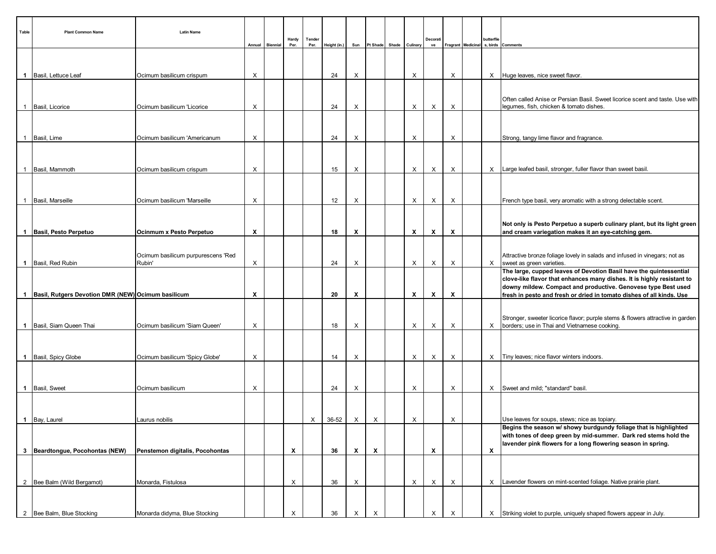| Table          | <b>Plant Common Name</b>                               | <b>Latin Name</b>                            | Annual   | Biennial | Hardy<br>Per.             | Tender<br>Per. | Height (in.) | Sun                       | Pt Shade           | Shade Culinary | Decorati<br>ve |   | butterflie                | Fragrant   Medicinal   s, birds   Comments                                                                                                                                                                    |
|----------------|--------------------------------------------------------|----------------------------------------------|----------|----------|---------------------------|----------------|--------------|---------------------------|--------------------|----------------|----------------|---|---------------------------|---------------------------------------------------------------------------------------------------------------------------------------------------------------------------------------------------------------|
|                |                                                        |                                              |          |          |                           |                |              |                           |                    |                |                |   |                           |                                                                                                                                                                                                               |
|                | 1 Basil, Lettuce Leaf                                  | Ocimum basilicum crispum                     | $\times$ |          |                           |                | 24           | Х                         |                    | $\times$       |                | X |                           | X Huge leaves, nice sweet flavor.                                                                                                                                                                             |
|                | 1 Basil, Licorice                                      | Ocimum basilicum 'Licorice                   | X        |          |                           |                | 24           | Х                         |                    | $\times$       | X              | X |                           | Often called Anise or Persian Basil. Sweet licorice scent and taste. Use with<br>legumes, fish, chicken & tomato dishes.                                                                                      |
|                | 1 Basil, Lime                                          | Ocimum basilicum 'Americanum                 | $\times$ |          |                           |                | 24           | Х                         |                    | X              |                | X |                           | Strong, tangy lime flavor and fragrance.                                                                                                                                                                      |
|                |                                                        |                                              |          |          |                           |                |              |                           |                    |                |                |   |                           |                                                                                                                                                                                                               |
|                | 1 Basil, Mammoth                                       | Ocimum basilicum crispum                     | $\times$ |          |                           |                | 15           | Х                         |                    | $\times$       | X              | X |                           | X   Large leafed basil, stronger, fuller flavor than sweet basil.                                                                                                                                             |
|                |                                                        |                                              |          |          |                           |                |              |                           |                    |                |                |   |                           |                                                                                                                                                                                                               |
|                | 1 Basil, Marseille                                     | Ocimum basilicum 'Marseille                  | X        |          |                           |                | 12           | X                         |                    | $\times$       | X              | Χ |                           | French type basil, very aromatic with a strong delectable scent.                                                                                                                                              |
|                | 1   Basil, Pesto Perpetuo                              | Ocinmum x Pesto Perpetuo                     | X        |          |                           |                | 18           | х                         |                    | X              | X              | X |                           | Not only is Pesto Perpetuo a superb culinary plant, but its light green<br>and cream variegation makes it an eye-catching gem.                                                                                |
|                |                                                        |                                              |          |          |                           |                |              |                           |                    |                |                |   |                           |                                                                                                                                                                                                               |
|                | 1 Basil, Red Rubin                                     | Ocimum basilicum purpurescens 'Red<br>Rubin' | X        |          |                           |                | 24           | Х                         |                    | X              | X              | Χ |                           | Attractive bronze foliage lovely in salads and infused in vinegars; not as<br>X sweet as green varieties.                                                                                                     |
|                |                                                        |                                              |          |          |                           |                |              |                           |                    |                |                |   |                           | The large, cupped leaves of Devotion Basil have the quintessential<br>clove-like flavor that enhances many dishes. It is highly resistant to<br>downy mildew. Compact and productive. Genovese type Best used |
|                | 1   Basil, Rutgers Devotion DMR (NEW) Ocimum basilicum |                                              | X        |          |                           |                | 20           | х                         |                    | X              | X              | Х |                           | fresh in pesto and fresh or dried in tomato dishes of all kinds. Use                                                                                                                                          |
|                | 1 Basil, Siam Queen Thai                               | Ocimum basilicum 'Siam Queen'                | X        |          |                           |                | 18           | X                         |                    | X              | Χ              | X |                           | Stronger, sweeter licorice flavor; purple stems & flowers attractive in garden<br>X   borders; use in Thai and Vietnamese cooking.                                                                            |
|                |                                                        |                                              |          |          |                           |                |              |                           |                    |                |                |   |                           |                                                                                                                                                                                                               |
|                | 1   Basil, Spicy Globe                                 | Ocimum basilicum 'Spicy Globe'               | X        |          |                           |                | 14           | Х                         |                    | $\times$       | Х              | Χ |                           | X Tiny leaves; nice flavor winters indoors.                                                                                                                                                                   |
|                |                                                        |                                              |          |          |                           |                |              |                           |                    |                |                |   |                           |                                                                                                                                                                                                               |
|                | 1 Basil, Sweet                                         | Ocimum basilicum                             | X        |          |                           |                | 24           | Х                         |                    | X              |                | X |                           | X   Sweet and mild; "standard" basil.                                                                                                                                                                         |
|                |                                                        |                                              |          |          |                           |                |              |                           |                    |                |                |   |                           |                                                                                                                                                                                                               |
|                | 1 Bay, Laurel                                          | Laurus nobilis                               |          |          |                           | $\times$       | 36-52        | $\boldsymbol{\mathsf{X}}$ | $\times$           | $\times$       |                | X |                           | Use leaves for soups, stews; nice as topiary.<br>Begins the season w/ showy burdgundy foliage that is highlighted                                                                                             |
|                |                                                        |                                              |          |          |                           |                |              |                           |                    |                |                |   |                           | with tones of deep green by mid-summer. Dark red stems hold the                                                                                                                                               |
|                | 3 Beardtongue, Pocohontas (NEW)                        | Penstemon digitalis, Pocohontas              |          |          | $\boldsymbol{\mathsf{x}}$ |                | 36           | X                         | $\pmb{\mathsf{x}}$ |                | X              |   | $\boldsymbol{\mathsf{x}}$ | lavender pink flowers for a long flowering season in spring.                                                                                                                                                  |
|                |                                                        |                                              |          |          |                           |                |              |                           |                    |                |                |   |                           |                                                                                                                                                                                                               |
|                | 2 Bee Balm (Wild Bergamot)                             | Monarda, Fistulosa                           |          |          | X                         |                | 36           | X                         |                    | $\times$       | Χ              | X |                           | X Lavender flowers on mint-scented foliage. Native prairie plant.                                                                                                                                             |
|                |                                                        |                                              |          |          |                           |                |              |                           |                    |                |                |   |                           |                                                                                                                                                                                                               |
| $\overline{2}$ | Bee Balm, Blue Stocking                                | Monarda didyma, Blue Stocking                |          |          | X                         |                | 36           | Х                         | $\times$           |                | X              | X |                           | X Striking violet to purple, uniquely shaped flowers appear in July.                                                                                                                                          |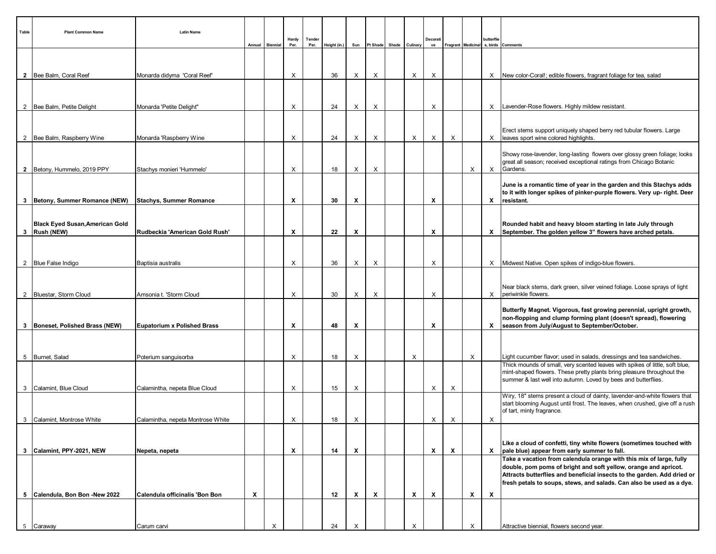| Table | <b>Plant Common Name</b>                               | <b>Latin Name</b>                  |   | Annual Biennial | Hardy<br>Per.             | Tender<br>Per. | Height (in.) | Sun |                           | Pt Shade Shade Culinary |                           | Decorat<br>ve |              |   | butterflie                | Fragrant   Medicinal   s, birds   Comments                                                                                                                                                                                                                                                |
|-------|--------------------------------------------------------|------------------------------------|---|-----------------|---------------------------|----------------|--------------|-----|---------------------------|-------------------------|---------------------------|---------------|--------------|---|---------------------------|-------------------------------------------------------------------------------------------------------------------------------------------------------------------------------------------------------------------------------------------------------------------------------------------|
|       |                                                        |                                    |   |                 |                           |                |              |     |                           |                         |                           |               |              |   |                           |                                                                                                                                                                                                                                                                                           |
|       | 2 Bee Balm, Coral Reef                                 | Monarda didyma 'Coral Reef'        |   |                 | X                         |                | 36           | X   | X                         |                         | $\boldsymbol{\mathsf{X}}$ | X             |              |   |                           | X New color-Coral!; edible flowers, fragrant foliage for tea, salad                                                                                                                                                                                                                       |
|       |                                                        |                                    |   |                 |                           |                |              |     |                           |                         |                           |               |              |   |                           |                                                                                                                                                                                                                                                                                           |
|       |                                                        |                                    |   |                 |                           |                |              |     |                           |                         |                           |               |              |   |                           |                                                                                                                                                                                                                                                                                           |
|       | 2 Bee Balm, Petite Delight                             | Monarda 'Petite Delight"           |   |                 | Х                         |                | 24           | X   | X                         |                         |                           | X             |              |   |                           | X   Lavender-Rose flowers. Highly mildew resistant.                                                                                                                                                                                                                                       |
|       |                                                        |                                    |   |                 |                           |                |              |     |                           |                         |                           |               |              |   |                           | Erect stems support uniquely shaped berry red tubular flowers. Large                                                                                                                                                                                                                      |
|       | 2 Bee Balm, Raspberry Wine                             | Monarda 'Raspberry Wine            |   |                 | X                         |                | 24           | X   | X                         |                         | $\times$                  | X             | X            |   |                           | X  leaves sport wine colored highlights.                                                                                                                                                                                                                                                  |
|       | 2 Betony, Hummelo, 2019 PPY                            | Stachys monieri 'Hummelo'          |   |                 | X                         |                | 18           | X   | X                         |                         |                           |               |              | X |                           | Showy rose-lavender, long-lasting flowers over glossy green foliage; looks<br>great all season; received exceptional ratings from Chicago Botanic<br>$X$ Gardens.                                                                                                                         |
|       |                                                        |                                    |   |                 |                           |                |              |     |                           |                         |                           |               |              |   |                           |                                                                                                                                                                                                                                                                                           |
|       | 3   Betony, Summer Romance (NEW)                       | <b>Stachys, Summer Romance</b>     |   |                 | X                         |                | 30           | X   |                           |                         |                           | X             |              |   |                           | June is a romantic time of year in the garden and this Stachys adds<br>to it with longer spikes of pinker-purple flowers. Very up- right. Deer<br>X resistant.                                                                                                                            |
|       |                                                        |                                    |   |                 |                           |                |              |     |                           |                         |                           |               |              |   |                           |                                                                                                                                                                                                                                                                                           |
|       | <b>Black Eyed Susan, American Gold</b><br>3 Rush (NEW) | Rudbeckia 'American Gold Rush'     |   |                 | X                         |                | 22           | х   |                           |                         |                           | X             |              |   |                           | Rounded habit and heavy bloom starting in late July through<br>X September. The golden yellow 3" flowers have arched petals.                                                                                                                                                              |
|       |                                                        |                                    |   |                 |                           |                |              |     |                           |                         |                           |               |              |   |                           |                                                                                                                                                                                                                                                                                           |
|       | 2 Blue False Indigo                                    | Baptisia australis                 |   |                 | X                         |                | 36           | X   | X                         |                         |                           | X             |              |   |                           | X   Midwest Native. Open spikes of indigo-blue flowers.                                                                                                                                                                                                                                   |
|       |                                                        |                                    |   |                 |                           |                |              |     |                           |                         |                           |               |              |   |                           |                                                                                                                                                                                                                                                                                           |
|       | 2   Bluestar, Storm Cloud                              | Amsonia t. 'Storm Cloud            |   |                 | X                         |                | 30           | X   | X                         |                         |                           | X             |              |   |                           | Near black stems, dark green, silver veined foliage. Loose sprays of light<br>X periwinkle flowers.                                                                                                                                                                                       |
|       |                                                        |                                    |   |                 | X                         |                | 48           | X   |                           |                         |                           | X             |              |   |                           | Butterfly Magnet. Vigorous, fast growing perennial, upright growth,<br>non-flopping and clump forming plant (doesn't spread), flowering                                                                                                                                                   |
|       | 3   Boneset, Polished Brass (NEW)                      | <b>Eupatorium x Polished Brass</b> |   |                 |                           |                |              |     |                           |                         |                           |               |              |   |                           | X   season from July/August to September/October.                                                                                                                                                                                                                                         |
|       |                                                        |                                    |   |                 |                           |                |              |     |                           |                         |                           |               |              |   |                           |                                                                                                                                                                                                                                                                                           |
|       | 5 Burnet, Salad                                        | Poterium sanguisorba               |   |                 | Х                         |                | 18           | X   |                           |                         | X                         |               |              | X |                           | Light cucumber flavor; used in salads, dressings and tea sandwiches.                                                                                                                                                                                                                      |
|       |                                                        |                                    |   |                 |                           |                |              |     |                           |                         |                           |               |              |   |                           | Thick mounds of small, very scented leaves with spikes of little, soft blue,<br>mint-shaped flowers. These pretty plants bring pleasure throughout the<br>summer & last well into autumn. Loved by bees and butterflies.                                                                  |
|       | 3 Calamint, Blue Cloud                                 | Calamintha, nepeta Blue Cloud      |   |                 | X                         |                | 15           | X   |                           |                         |                           | X             | X            |   |                           |                                                                                                                                                                                                                                                                                           |
|       |                                                        |                                    |   |                 |                           |                |              |     |                           |                         |                           |               |              |   |                           | Wiry, 18" stems present a cloud of dainty, lavender-and-white flowers that<br>start blooming August until frost. The leaves, when crushed, give off a rush<br>of tart, minty fragrance.                                                                                                   |
|       | 3 Calamint, Montrose White                             | Calamintha, nepeta Montrose White  |   |                 | X                         |                | 18           | X   |                           |                         |                           | X             | X            |   | $\times$                  |                                                                                                                                                                                                                                                                                           |
|       |                                                        |                                    |   |                 |                           |                |              |     |                           |                         |                           |               |              |   |                           | Like a cloud of confetti, tiny white flowers (sometimes touched with                                                                                                                                                                                                                      |
|       | 3 Calamint, PPY-2021, NEW                              | Nepeta, nepeta                     |   |                 | $\boldsymbol{\mathsf{x}}$ |                | 14           | X   |                           |                         |                           | X             | $\mathbf{x}$ |   |                           | $X$ pale blue) appear from early summer to fall.                                                                                                                                                                                                                                          |
|       |                                                        |                                    |   |                 |                           |                |              |     |                           |                         |                           |               |              |   |                           | Take a vacation from calendula orange with this mix of large, fully<br>double, pom poms of bright and soft yellow, orange and apricot.<br>Attracts butterflies and beneficial insects to the garden. Add dried or<br>fresh petals to soups, stews, and salads. Can also be used as a dye. |
|       | 5 Calendula, Bon Bon -New 2022                         | Calendula officinalis 'Bon Bon     | X |                 |                           |                | 12           | x   | $\boldsymbol{\mathsf{x}}$ |                         | $\boldsymbol{\mathsf{x}}$ | Х             |              | X | $\boldsymbol{\mathsf{x}}$ |                                                                                                                                                                                                                                                                                           |
|       |                                                        |                                    |   |                 |                           |                |              |     |                           |                         |                           |               |              |   |                           |                                                                                                                                                                                                                                                                                           |
|       | 5 Caraway                                              | Carum carvi                        |   | X               |                           |                | 24           | X   |                           |                         | X                         |               |              | X |                           | Attractive biennial, flowers second year.                                                                                                                                                                                                                                                 |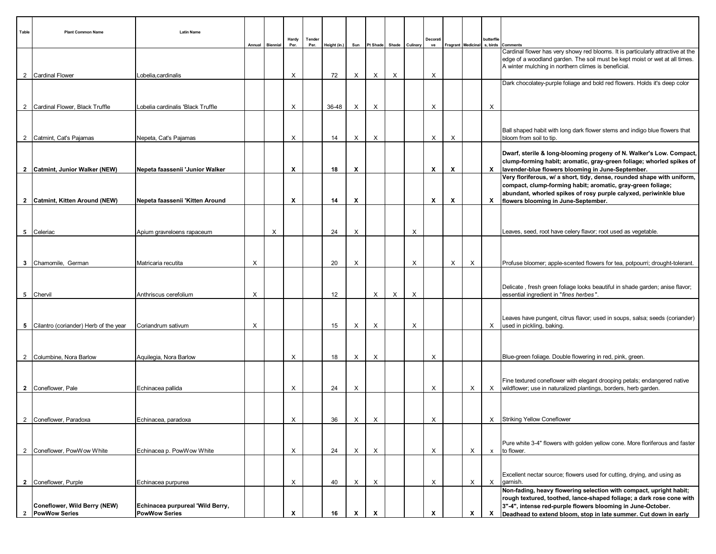| Table          | <b>Plant Common Name</b>                             | <b>Latin Name</b>                                        |   | Annual Biennial | Hardy<br>Per. | Tender<br>Per. | Height (in.) | Sun |                           |   | Pt Shade Shade Culinary | Decorat<br>ve |   |   | butterflie<br>Fragrant Medicinal s, birds | Comments                                                                                                                                                                                                              |
|----------------|------------------------------------------------------|----------------------------------------------------------|---|-----------------|---------------|----------------|--------------|-----|---------------------------|---|-------------------------|---------------|---|---|-------------------------------------------|-----------------------------------------------------------------------------------------------------------------------------------------------------------------------------------------------------------------------|
|                | 2 Cardinal Flower                                    | Lobelia, cardinalis                                      |   |                 | X             |                | 72           | X   | X                         | X |                         | X             |   |   |                                           | Cardinal flower has very showy red blooms. It is particularly attractive at the<br>edge of a woodland garden. The soil must be kept moist or wet at all times.<br>A winter mulching in northern climes is beneficial. |
|                |                                                      |                                                          |   |                 |               |                |              |     |                           |   |                         |               |   |   |                                           | Dark chocolatey-purple foliage and bold red flowers. Holds it's deep color                                                                                                                                            |
|                |                                                      |                                                          |   |                 |               |                |              |     |                           |   |                         |               |   |   |                                           |                                                                                                                                                                                                                       |
| $\overline{2}$ | Cardinal Flower, Black Truffle                       | Lobelia cardinalis 'Black Truffle                        |   |                 | Х             |                | 36-48        | X   | Х                         |   |                         | х             |   |   | Χ                                         |                                                                                                                                                                                                                       |
|                |                                                      |                                                          |   |                 |               |                |              |     |                           |   |                         |               |   |   |                                           |                                                                                                                                                                                                                       |
|                | 2 Catmint, Cat's Pajamas                             | Nepeta, Cat's Pajamas                                    |   |                 | X             |                | 14           | X   | X                         |   |                         | X             | X |   |                                           | Ball shaped habit with long dark flower stems and indigo blue flowers that<br>bloom from soil to tip.                                                                                                                 |
|                |                                                      |                                                          |   |                 |               |                |              |     |                           |   |                         |               |   |   |                                           | Dwarf, sterile & long-blooming progeny of N. Walker's Low. Compact,<br>clump-forming habit; aromatic, gray-green foliage; whorled spikes of                                                                           |
|                | 2 Catmint, Junior Walker (NEW)                       | Nepeta faassenii 'Junior Walker                          |   |                 | х             |                | 18           | х   |                           |   |                         | х             | X |   |                                           | X   lavender-blue flowers blooming in June-September.<br>Very floriferous, w/ a short, tidy, dense, rounded shape with uniform,                                                                                       |
|                |                                                      |                                                          |   |                 |               |                |              |     |                           |   |                         |               |   |   |                                           | compact, clump-forming habit; aromatic, gray-green foliage;<br>abundant, whorled spikes of rosy purple calyxed, periwinkle blue                                                                                       |
|                | 2 Catmint, Kitten Around (NEW)                       | Nepeta faassenii 'Kitten Around                          |   |                 | X             |                | 14           | х   |                           |   |                         | х             | Х |   |                                           | X   flowers blooming in June-September.                                                                                                                                                                               |
|                |                                                      |                                                          |   |                 |               |                |              |     |                           |   |                         |               |   |   |                                           |                                                                                                                                                                                                                       |
|                | 5 Celeriac                                           | Apium gravreloens rapaceum                               |   | X               |               |                | 24           | X   |                           |   | X                       |               |   |   |                                           | Leaves, seed, root have celery flavor; root used as vegetable.                                                                                                                                                        |
|                |                                                      |                                                          |   |                 |               |                |              |     |                           |   |                         |               |   |   |                                           |                                                                                                                                                                                                                       |
|                |                                                      |                                                          |   |                 |               |                |              |     |                           |   |                         |               |   |   |                                           |                                                                                                                                                                                                                       |
|                | 3 Chamomile, German                                  | Matricaria recutita                                      | Х |                 |               |                | 20           | X   |                           |   | X                       |               | X | X |                                           | Profuse bloomer; apple-scented flowers for tea, potpourri; drought-tolerant.                                                                                                                                          |
|                |                                                      |                                                          |   |                 |               |                |              |     |                           |   |                         |               |   |   |                                           |                                                                                                                                                                                                                       |
|                |                                                      |                                                          |   |                 |               |                |              |     |                           |   |                         |               |   |   |                                           | Delicate, fresh green foliage looks beautiful in shade garden; anise flavor;                                                                                                                                          |
|                | 5 Chervil                                            | Anthriscus cerefolium                                    | Х |                 |               |                | 12           |     | X                         | X | X                       |               |   |   |                                           | essential ingredient in "fines herbes".                                                                                                                                                                               |
|                |                                                      |                                                          |   |                 |               |                |              |     |                           |   |                         |               |   |   |                                           |                                                                                                                                                                                                                       |
|                |                                                      |                                                          |   |                 |               |                |              |     |                           |   |                         |               |   |   |                                           | Leaves have pungent, citrus flavor; used in soups, salsa; seeds (coriander)                                                                                                                                           |
|                | 5 Cilantro (coriander) Herb of the year              | Coriandrum sativum                                       | Х |                 |               |                | 15           | Х   | X                         |   | X                       |               |   |   |                                           | X used in pickling, baking.                                                                                                                                                                                           |
|                |                                                      |                                                          |   |                 |               |                |              |     |                           |   |                         |               |   |   |                                           |                                                                                                                                                                                                                       |
| 2              | Columbine, Nora Barlow                               | Aquilegia, Nora Barlow                                   |   |                 | X             |                | 18           | Х   | Х                         |   |                         | Х             |   |   |                                           | Blue-green foliage. Double flowering in red, pink, green.                                                                                                                                                             |
|                |                                                      |                                                          |   |                 |               |                |              |     |                           |   |                         |               |   |   |                                           |                                                                                                                                                                                                                       |
|                |                                                      |                                                          |   |                 |               |                |              |     |                           |   |                         |               |   |   |                                           |                                                                                                                                                                                                                       |
|                | 2 Coneflower, Pale                                   | Echinacea pallida                                        |   |                 | X             |                | 24           | X   |                           |   |                         | х             |   | X |                                           | Fine textured coneflower with elegant drooping petals; endangered native<br>X   wildflower; use in naturalized plantings, borders, herb garden.                                                                       |
|                |                                                      |                                                          |   |                 |               |                |              |     |                           |   |                         |               |   |   |                                           |                                                                                                                                                                                                                       |
|                |                                                      |                                                          |   |                 |               |                |              |     |                           |   |                         |               |   |   |                                           |                                                                                                                                                                                                                       |
| $\overline{2}$ | Coneflower, Paradoxa                                 | Echinacea, paradoxa                                      |   |                 | X             |                | 36           | Х   | X                         |   |                         | X             |   |   |                                           | X Striking Yellow Coneflower                                                                                                                                                                                          |
|                |                                                      |                                                          |   |                 |               |                |              |     |                           |   |                         |               |   |   |                                           |                                                                                                                                                                                                                       |
|                |                                                      |                                                          |   |                 |               |                |              |     |                           |   |                         |               |   |   |                                           | Pure white 3-4" flowers with golden yellow cone. More floriferous and faster                                                                                                                                          |
| 2              | Coneflower, PowWow White                             | Echinacea p. PowWow White                                |   |                 | X             |                | 24           | Х   | X                         |   |                         | X             |   | X | $\mathsf{x}$                              | to flower.                                                                                                                                                                                                            |
|                |                                                      |                                                          |   |                 |               |                |              |     |                           |   |                         |               |   |   |                                           |                                                                                                                                                                                                                       |
|                |                                                      |                                                          |   |                 |               |                | 40           |     | X                         |   |                         | X             |   | X | $\mathsf{X}$                              | Excellent nectar source; flowers used for cutting, drying, and using as<br>garnish.                                                                                                                                   |
| $\overline{2}$ | Coneflower, Purple                                   | Echinacea purpurea                                       |   |                 | Х             |                |              | Х   |                           |   |                         |               |   |   |                                           | Non-fading, heavy flowering selection with compact, upright habit;                                                                                                                                                    |
|                |                                                      |                                                          |   |                 |               |                |              |     |                           |   |                         |               |   |   |                                           | rough textured, toothed, lance-shaped foliage; a dark rose cone with                                                                                                                                                  |
| <sup>2</sup>   | Coneflower, Wild Berry (NEW)<br><b>PowWow Series</b> | Echinacea purpureal 'Wild Berry,<br><b>PowWow Series</b> |   |                 | x             |                | 16           | X   | $\boldsymbol{\mathsf{x}}$ |   |                         |               |   | x | X                                         | 3"-4", intense red-purple flowers blooming in June-October.<br>Deadhead to extend bloom, stop in late summer. Cut down in early                                                                                       |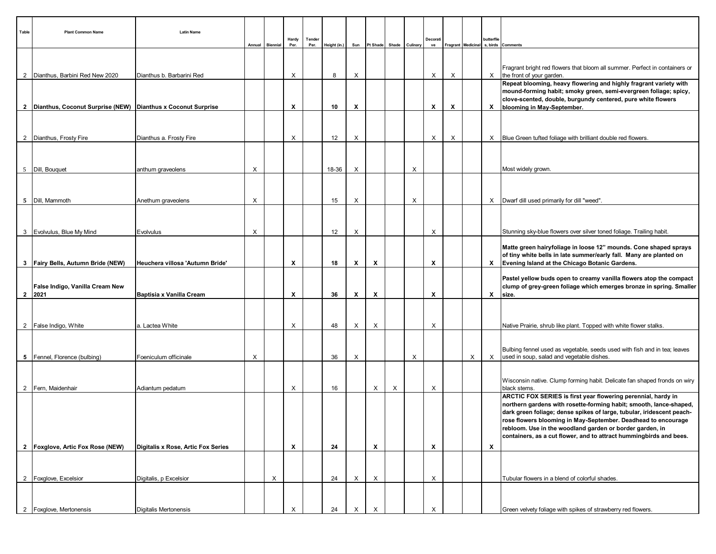| Table | <b>Plant Common Name</b>                                       | <b>Latin Name</b>                  | Annual | <b>Biennial</b> | Hardy<br>Per.             | Tender<br>Per. | Height (in.) | Sun | Pt Shade                  |   | Shade Culinary | Decorat<br>ve |          |   | butterflie   | Fragrant Medicinal s, birds Comments                                                                                                                                                                                                                                          |
|-------|----------------------------------------------------------------|------------------------------------|--------|-----------------|---------------------------|----------------|--------------|-----|---------------------------|---|----------------|---------------|----------|---|--------------|-------------------------------------------------------------------------------------------------------------------------------------------------------------------------------------------------------------------------------------------------------------------------------|
|       |                                                                |                                    |        |                 |                           |                |              |     |                           |   |                |               |          |   |              | Fragrant bright red flowers that bloom all summer. Perfect in containers or                                                                                                                                                                                                   |
|       | 2 Dianthus, Barbini Red New 2020                               | Dianthus b. Barbarini Red          |        |                 | X                         |                | 8            | X   |                           |   |                | X             | $\times$ |   |              | $X$ the front of your garden.                                                                                                                                                                                                                                                 |
|       | 2 Dianthus, Coconut Surprise (NEW) Dianthus x Coconut Surprise |                                    |        |                 | Х                         |                | 10           | х   |                           |   |                | Х             | X        |   |              | Repeat blooming, heavy flowering and highly fragrant variety with<br>mound-forming habit; smoky green, semi-evergreen foliage; spicy,<br>clove-scented, double, burgundy centered, pure white flowers                                                                         |
|       |                                                                |                                    |        |                 |                           |                |              |     |                           |   |                |               |          |   |              | X   blooming in May-September.                                                                                                                                                                                                                                                |
|       | 2   Dianthus, Frosty Fire                                      | Dianthus a. Frosty Fire            |        |                 | X                         |                | 12           | X   |                           |   |                | X             | $\times$ |   |              | X Blue Green tufted foliage with brilliant double red flowers.                                                                                                                                                                                                                |
|       |                                                                |                                    |        |                 |                           |                |              |     |                           |   |                |               |          |   |              |                                                                                                                                                                                                                                                                               |
|       |                                                                |                                    |        |                 |                           |                |              |     |                           |   |                |               |          |   |              |                                                                                                                                                                                                                                                                               |
|       | 5   Dill, Bouquet                                              | anthum graveolens                  | X      |                 |                           |                | 18-36        | X   |                           |   | X              |               |          |   |              | Most widely grown.                                                                                                                                                                                                                                                            |
|       |                                                                |                                    |        |                 |                           |                |              |     |                           |   |                |               |          |   |              |                                                                                                                                                                                                                                                                               |
|       | 5   Dill, Mammoth                                              | Anethum graveolens                 | X      |                 |                           |                | 15           | X   |                           |   | X              |               |          |   |              | X   Dwarf dill used primarily for dill "weed".                                                                                                                                                                                                                                |
|       |                                                                |                                    |        |                 |                           |                |              |     |                           |   |                |               |          |   |              |                                                                                                                                                                                                                                                                               |
|       | 3   Evolvulus, Blue My Mind                                    | Evolvulus                          | X      |                 |                           |                | 12           | X   |                           |   |                | X             |          |   |              | Stunning sky-blue flowers over silver toned foliage. Trailing habit.                                                                                                                                                                                                          |
|       | 3   Fairy Bells, Autumn Bride (NEW)                            | Heuchera villosa 'Autumn Bride'    |        |                 | X                         |                | 18           | X   | X                         |   |                | X             |          |   |              | Matte green hairyfoliage in loose 12" mounds. Cone shaped sprays<br>of tiny white bells in late summer/early fall. Many are planted on<br>X   Evening Island at the Chicago Botanic Gardens.                                                                                  |
|       | False Indigo, Vanilla Cream New                                |                                    |        |                 |                           |                |              |     |                           |   |                |               |          |   |              | Pastel yellow buds open to creamy vanilla flowers atop the compact<br>clump of grey-green foliage which emerges bronze in spring. Smaller                                                                                                                                     |
|       | 2 2021                                                         | Baptisia x Vanilla Cream           |        |                 | X                         |                | 36           | х   | X                         |   |                | X             |          |   | X            | size.                                                                                                                                                                                                                                                                         |
|       |                                                                |                                    |        |                 |                           |                |              |     |                           |   |                |               |          |   |              |                                                                                                                                                                                                                                                                               |
|       | 2   False Indigo, White                                        | a. Lactea White                    |        |                 | X                         |                | 48           | X   | Χ                         |   |                | X             |          |   |              | Native Prairie, shrub like plant. Topped with white flower stalks.                                                                                                                                                                                                            |
|       |                                                                |                                    |        |                 |                           |                |              |     |                           |   |                |               |          |   |              |                                                                                                                                                                                                                                                                               |
|       | 5 Fennel, Florence (bulbing)                                   | Foeniculum officinale              | X      |                 |                           |                | 36           | X   |                           |   | X              |               |          | X |              | Bulbing fennel used as vegetable, seeds used with fish and in tea; leaves<br>$X$ used in soup, salad and vegetable dishes.                                                                                                                                                    |
|       |                                                                |                                    |        |                 |                           |                |              |     |                           |   |                |               |          |   |              |                                                                                                                                                                                                                                                                               |
|       | 2 Fern, Maidenhair                                             | Adiantum pedatum                   |        |                 | X                         |                | 16           |     | X                         | X |                | X             |          |   |              | Wisconsin native. Clump forming habit. Delicate fan shaped fronds on wiry<br>black stems.                                                                                                                                                                                     |
|       |                                                                |                                    |        |                 |                           |                |              |     |                           |   |                |               |          |   |              | ARCTIC FOX SERIES is first year flowering perennial, hardy in<br>northern gardens with rosette-forming habit; smooth, lance-shaped,<br>dark green foliage; dense spikes of large, tubular, iridescent peach-<br>rose flowers blooming in May-September. Deadhead to encourage |
|       |                                                                |                                    |        |                 |                           |                |              |     |                           |   |                |               |          |   |              | rebloom. Use in the woodland garden or border garden, in<br>containers, as a cut flower, and to attract hummingbirds and bees.                                                                                                                                                |
|       | 2   Foxglove, Artic Fox Rose (NEW)                             | Digitalis x Rose, Artic Fox Series |        |                 | $\boldsymbol{\mathsf{x}}$ |                | 24           |     | $\boldsymbol{\mathsf{x}}$ |   |                | X             |          |   | $\mathbf{x}$ |                                                                                                                                                                                                                                                                               |
|       |                                                                |                                    |        |                 |                           |                |              |     |                           |   |                |               |          |   |              |                                                                                                                                                                                                                                                                               |
|       | 2 Foxglove, Excelsion                                          | Digitalis, p Excelsior             |        | Х               |                           |                | 24           | Х   | X                         |   |                | X             |          |   |              | Tubular flowers in a blend of colorful shades.                                                                                                                                                                                                                                |
|       |                                                                |                                    |        |                 |                           |                |              |     |                           |   |                |               |          |   |              |                                                                                                                                                                                                                                                                               |
|       | 2   Foxglove, Mertonensis                                      | Digitalis Mertonensis              |        |                 | X                         |                | 24           | X   | X                         |   |                | X             |          |   |              | Green velvety foliage with spikes of strawberry red flowers.                                                                                                                                                                                                                  |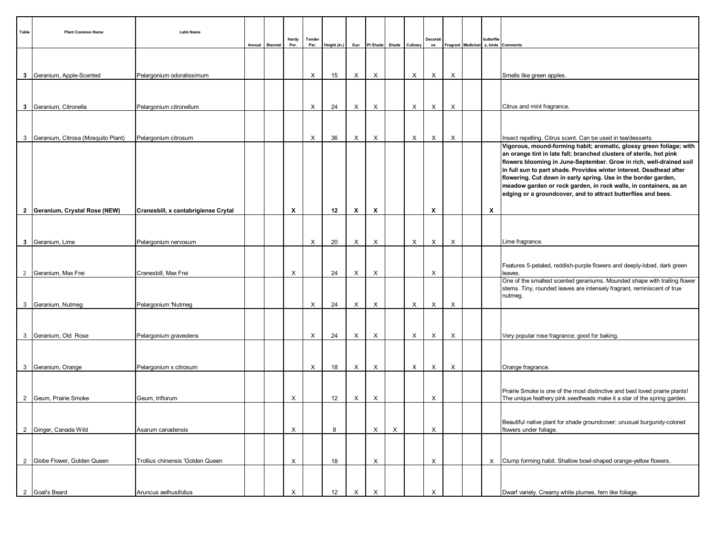| Table          | <b>Plant Common Name</b>           | <b>Latin Name</b>                   | Annual | <b>Biennial</b> | Hardy<br>Per. | Tender<br>Per. | Height (in.) | Sun |                           | Pt Shade Shade Culinary |   | Decorat<br>ve |   | butterflie                | Fragrant   Medicinal   s, birds   Comments                                                                                                                                                                                                                                                                                                                                                                                                                                                       |
|----------------|------------------------------------|-------------------------------------|--------|-----------------|---------------|----------------|--------------|-----|---------------------------|-------------------------|---|---------------|---|---------------------------|--------------------------------------------------------------------------------------------------------------------------------------------------------------------------------------------------------------------------------------------------------------------------------------------------------------------------------------------------------------------------------------------------------------------------------------------------------------------------------------------------|
|                |                                    |                                     |        |                 |               |                |              |     |                           |                         |   |               |   |                           |                                                                                                                                                                                                                                                                                                                                                                                                                                                                                                  |
|                | 3 Geranium, Apple-Scented          | Pelargonium odoratissimum           |        |                 |               | Х              | 15           | X   | X                         |                         | X | Χ             | X |                           | Smells like green apples.                                                                                                                                                                                                                                                                                                                                                                                                                                                                        |
|                |                                    |                                     |        |                 |               |                |              |     |                           |                         |   |               |   |                           |                                                                                                                                                                                                                                                                                                                                                                                                                                                                                                  |
| $\mathbf{3}$   | Geranium, Citronella               | Pelargonium citronellum             |        |                 |               | X              | 24           | X   | X                         |                         | X | X             | X |                           | Citrus and mint fragrance.                                                                                                                                                                                                                                                                                                                                                                                                                                                                       |
|                |                                    |                                     |        |                 |               |                |              |     |                           |                         |   |               |   |                           |                                                                                                                                                                                                                                                                                                                                                                                                                                                                                                  |
| 3              | Geranium, Citrosa (Mosquito Plant) | Pelargonium citrosum                |        |                 |               | X              | 36           | X   | X                         |                         | X | X             | X |                           | Insect repelling. Citrus scent. Can be used in tea/desserts.                                                                                                                                                                                                                                                                                                                                                                                                                                     |
|                |                                    |                                     |        |                 |               |                |              |     |                           |                         |   |               |   |                           | Vigorous, mound-forming habit; aromatic, glossy green foliage; with<br>an orange tint in late fall; branched clusters of sterile, hot pink<br>flowers blooming in June-September. Grow in rich, well-drained soil<br>in full sun to part shade. Provides winter interest. Deadhead after<br>flowering. Cut down in early spring. Use in the border garden,<br>meadow garden or rock garden, in rock walls, in containers, as an<br>edging or a groundcover, and to attract butterflies and bees. |
|                | 2 Geranium, Crystal Rose (NEW)     | Cranesbill, x cantabrigiense Crytal |        |                 | X             |                | 12           | x   | $\boldsymbol{\mathsf{x}}$ |                         |   | X             |   | $\boldsymbol{\mathsf{x}}$ |                                                                                                                                                                                                                                                                                                                                                                                                                                                                                                  |
|                |                                    |                                     |        |                 |               |                |              |     |                           |                         |   |               |   |                           |                                                                                                                                                                                                                                                                                                                                                                                                                                                                                                  |
|                | 3 Geranium, Lime                   | Pelargonium nervosum                |        |                 |               | X              | 20           | X   | X                         |                         | X | X             | X |                           | Lime fragrance.                                                                                                                                                                                                                                                                                                                                                                                                                                                                                  |
|                | 2 Geranium, Max Frei               | Cranesbill, Max Frei                |        |                 | X             |                | 24           | X   | X                         |                         |   | X             |   |                           | Features 5-petaled, reddish-purple flowers and deeply-lobed, dark green<br>leaves.<br>One of the smallest scented geraniums. Mounded shape with trailing flower                                                                                                                                                                                                                                                                                                                                  |
|                |                                    |                                     |        |                 |               |                |              |     |                           |                         |   |               |   |                           | stems. Tiny, rounded leaves are intensely fragrant, reminiscent of true<br>nutmeg.                                                                                                                                                                                                                                                                                                                                                                                                               |
|                | 3 Geranium, Nutmeg                 | Pelargonium 'Nutmeg                 |        |                 |               | X              | 24           | X   | X                         |                         | X | X             | X |                           |                                                                                                                                                                                                                                                                                                                                                                                                                                                                                                  |
|                | 3 Geranium, Old Rose               | Pelargonium graveolens              |        |                 |               | X              | 24           | X   | X                         |                         | X | X             | X |                           | Very popular rose fragrance; good for baking.                                                                                                                                                                                                                                                                                                                                                                                                                                                    |
|                |                                    |                                     |        |                 |               |                |              |     |                           |                         |   |               |   |                           |                                                                                                                                                                                                                                                                                                                                                                                                                                                                                                  |
|                | 3 Geranium, Orange                 | Pelargonium x citrosum              |        |                 |               | Х              | 18           | X   | X                         |                         | X | X             | X |                           | Orange fragrance.                                                                                                                                                                                                                                                                                                                                                                                                                                                                                |
| $\overline{2}$ | Geum, Prairie Smoke                | Geum, triflorum                     |        |                 | Х             |                | 12           | X   | X                         |                         |   | X             |   |                           | Prairie Smoke is one of the most distinctive and best loved prairie plants!<br>The unique feathery pink seedheads make it a star of the spring garden.                                                                                                                                                                                                                                                                                                                                           |
|                | 2 Ginger, Canada Wild              | Asarum canadensis                   |        |                 | X             |                | 8            |     | X                         | X                       |   | X             |   |                           | Beautiful native plant for shade groundcover; unusual burgundy-colored<br>flowers under foliage.                                                                                                                                                                                                                                                                                                                                                                                                 |
|                | 2 Globe Flower, Golden Queen       | Trollius chinensis 'Golden Queen    |        |                 | X             |                | 18           |     | X                         |                         |   | X             |   |                           | $X$ Clump forming habit. Shallow bowl-shaped orange-yellow flowers.                                                                                                                                                                                                                                                                                                                                                                                                                              |
|                |                                    |                                     |        |                 |               |                |              |     |                           |                         |   |               |   |                           |                                                                                                                                                                                                                                                                                                                                                                                                                                                                                                  |
|                | 2 Goat's Beard                     | Aruncus aethusifolius               |        |                 | X             |                | 12           | X   | X                         |                         |   | X             |   |                           | Dwarf variety. Creamy white plumes, fern like foliage.                                                                                                                                                                                                                                                                                                                                                                                                                                           |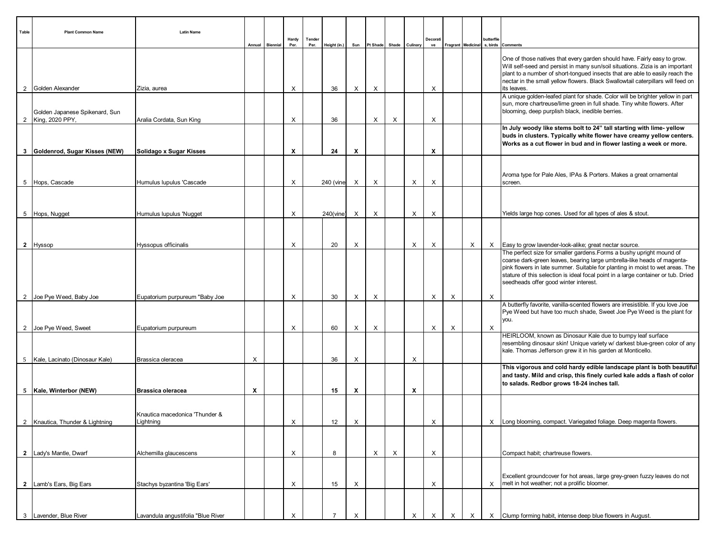| Table          | <b>Plant Common Name</b>                          | <b>Latin Name</b>                  | Annual | Biennial | Hardy<br>Per. | Tender<br>Per. | Height (in.) | Sun                       |          | Pt Shade Shade Culinary |   | Decorati<br>ve |   | Fragrant   Medicinal | butterflie<br>s, birds | Comments                                                                                                                                                                                                                                                                                                                                                       |
|----------------|---------------------------------------------------|------------------------------------|--------|----------|---------------|----------------|--------------|---------------------------|----------|-------------------------|---|----------------|---|----------------------|------------------------|----------------------------------------------------------------------------------------------------------------------------------------------------------------------------------------------------------------------------------------------------------------------------------------------------------------------------------------------------------------|
|                |                                                   |                                    |        |          |               |                |              |                           |          |                         |   |                |   |                      |                        | One of those natives that every garden should have. Fairly easy to grow.<br>Will self-seed and persist in many sun/soil situations. Zizia is an important<br>plant to a number of short-tongued insects that are able to easily reach the<br>nectar in the small yellow flowers. Black Swallowtail caterpillars will feed on                                   |
| 2              | Golden Alexander                                  | Zizia, aurea                       |        |          | X             |                | 36           | X                         | X        |                         |   | X              |   |                      |                        | its leaves<br>A unique golden-leafed plant for shade. Color will be brighter yellow in part                                                                                                                                                                                                                                                                    |
| $\overline{2}$ | Golden Japanese Spikenard, Sun<br>King, 2020 PPY, | Aralia Cordata, Sun King           |        |          | X             |                | 36           |                           | X        | X                       |   | X              |   |                      |                        | sun, more chartreuse/lime green in full shade. Tiny white flowers. After<br>blooming, deep purplish black, inedible berries.                                                                                                                                                                                                                                   |
|                |                                                   |                                    |        |          | X             |                | 24           | X                         |          |                         |   | X              |   |                      |                        | In July woody like stems bolt to 24" tall starting with lime- yellow<br>buds in clusters. Typically white flower have creamy yellow centers.<br>Works as a cut flower in bud and in flower lasting a week or more.                                                                                                                                             |
|                | 3 Goldenrod, Sugar Kisses (NEW)                   | Solidago x Sugar Kisses            |        |          |               |                |              |                           |          |                         |   |                |   |                      |                        |                                                                                                                                                                                                                                                                                                                                                                |
|                | 5 Hops, Cascade                                   | Humulus lupulus 'Cascade           |        |          | X             |                | 240 (vine)   | X                         | X        |                         | X | X              |   |                      |                        | Aroma type for Pale Ales, IPAs & Porters. Makes a great ornamental<br>screen.                                                                                                                                                                                                                                                                                  |
|                |                                                   |                                    |        |          |               |                |              |                           |          |                         |   |                |   |                      |                        |                                                                                                                                                                                                                                                                                                                                                                |
| 5              | Hops, Nugget                                      | Humulus lupulus 'Nugget            |        |          | X             |                | 240(vine)    | X                         | X        |                         | X | X              |   |                      |                        | Yields large hop cones. Used for all types of ales & stout.                                                                                                                                                                                                                                                                                                    |
|                |                                                   |                                    |        |          |               |                |              |                           |          |                         |   |                |   |                      |                        |                                                                                                                                                                                                                                                                                                                                                                |
| $\mathbf{2}$   | <b>Hyssop</b>                                     | Hyssopus officinalis               |        |          | X             |                | 20           | X                         |          |                         | X | X              |   | X                    | X                      | Easy to grow lavender-look-alike; great nectar source.                                                                                                                                                                                                                                                                                                         |
|                |                                                   |                                    |        |          |               |                |              |                           |          |                         |   |                |   |                      |                        | The perfect size for smaller gardens. Forms a bushy upright mound of<br>coarse dark-green leaves, bearing large umbrella-like heads of magenta-<br>pink flowers in late summer. Suitable for planting in moist to wet areas. The<br>stature of this selection is ideal focal point in a large container or tub. Dried<br>seedheads offer good winter interest. |
| $\overline{2}$ | Joe Pye Weed, Baby Joe                            | Eupatorium purpureum "Baby Joe     |        |          | X             |                | 30           | X                         | X        |                         |   | X              | X |                      | Х                      |                                                                                                                                                                                                                                                                                                                                                                |
|                |                                                   |                                    |        |          |               |                |              |                           |          |                         |   |                |   |                      |                        | A butterfly favorite, vanilla-scented flowers are irresistible. If you love Joe<br>Pye Weed but have too much shade, Sweet Joe Pye Weed is the plant for<br>you.                                                                                                                                                                                               |
|                | 2 Joe Pye Weed, Sweet                             | Eupatorium purpureum               |        |          | X             |                | 60           | X                         | X        |                         |   | X              | X |                      | $\times$               |                                                                                                                                                                                                                                                                                                                                                                |
|                | 5 Kale, Lacinato (Dinosaur Kale)                  | Brassica oleracea                  | X      |          |               |                | 36           | X                         |          |                         | X |                |   |                      |                        | HEIRLOOM, known as Dinosaur Kale due to bumpy leaf surface<br>resembling dinosaur skin! Unique variety w/ darkest blue-green color of any<br>kale. Thomas Jefferson grew it in his garden at Monticello.                                                                                                                                                       |
|                |                                                   |                                    |        |          |               |                |              |                           |          |                         |   |                |   |                      |                        | This vigorous and cold hardy edible landscape plant is both beautiful<br>and tasty. Mild and crisp, this finely curled kale adds a flash of color<br>to salads. Redbor grows 18-24 inches tall.                                                                                                                                                                |
|                | 5   Kale, Winterbor (NEW)                         | <b>Brassica oleracea</b>           | X      |          |               |                | 15           | X                         |          |                         | X |                |   |                      |                        |                                                                                                                                                                                                                                                                                                                                                                |
|                | 2 Knautica, Thunder & Lightning                   | Knautica macedonica 'Thunder &     |        |          | X             |                | 12           | $\boldsymbol{\mathsf{x}}$ |          |                         |   | X              |   |                      | X                      |                                                                                                                                                                                                                                                                                                                                                                |
|                |                                                   | Lightning                          |        |          |               |                |              |                           |          |                         |   |                |   |                      |                        | Long blooming, compact. Variegated foliage. Deep magenta flowers.                                                                                                                                                                                                                                                                                              |
|                |                                                   |                                    |        |          |               |                |              |                           |          |                         |   |                |   |                      |                        |                                                                                                                                                                                                                                                                                                                                                                |
|                | 2   Lady's Mantle, Dwarf                          | Alchemilla glaucescens             |        |          | X             |                | 8            |                           | $\times$ | X                       |   | Х              |   |                      |                        | Compact habit; chartreuse flowers.                                                                                                                                                                                                                                                                                                                             |
| $\overline{2}$ | Lamb's Ears, Big Ears                             | Stachys byzantina 'Big Ears'       |        |          | X             |                | 15           | Х                         |          |                         |   | Х              |   |                      | X                      | Excellent groundcover for hot areas, large grey-green fuzzy leaves do not<br>melt in hot weather; not a prolific bloomer.                                                                                                                                                                                                                                      |
|                |                                                   |                                    |        |          |               |                |              |                           |          |                         |   |                |   |                      |                        |                                                                                                                                                                                                                                                                                                                                                                |
| 3              | Lavender, Blue River                              | Lavandula angustifolia "Blue River |        |          | X             |                |              |                           |          |                         |   |                |   |                      |                        | X Clump forming habit, intense deep blue flowers in August.                                                                                                                                                                                                                                                                                                    |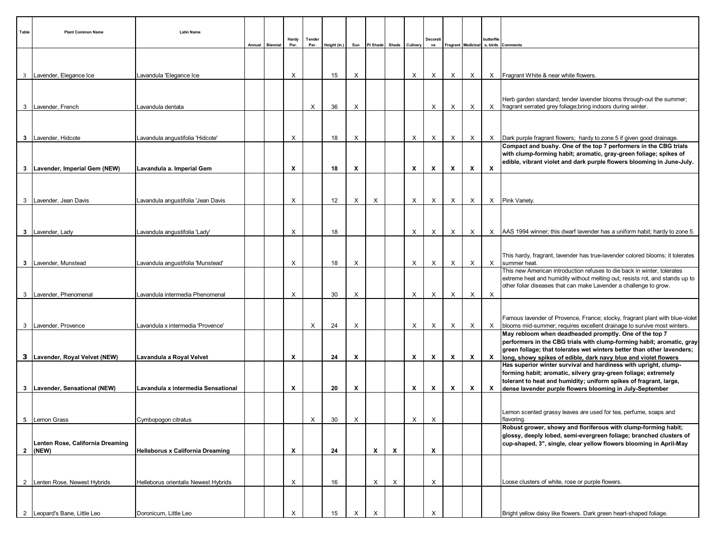| Table          | <b>Plant Common Name</b>                  | <b>Latin Name</b><br>Annual             | <b>Biennial</b> | Hardy<br>Per. | Tender<br>Per. | Height (in.) | Sun | Pt Shade                  |   | Shade Culinary            | Decorat<br>ve |              |              | butterflie                | Fragrant   Medicinal   s, birds   Comments                                                                                                                                                                                   |
|----------------|-------------------------------------------|-----------------------------------------|-----------------|---------------|----------------|--------------|-----|---------------------------|---|---------------------------|---------------|--------------|--------------|---------------------------|------------------------------------------------------------------------------------------------------------------------------------------------------------------------------------------------------------------------------|
|                |                                           |                                         |                 |               |                |              |     |                           |   |                           |               |              |              |                           |                                                                                                                                                                                                                              |
| 3 <sup>7</sup> | Lavender, Elegance Ice                    | Lavandula 'Elegance Ice                 |                 | X             |                | 15           | X   |                           |   | X                         | X             | X            | X            |                           | X   Fragrant White & near white flowers.                                                                                                                                                                                     |
|                | 3   Lavender, French                      | Lavandula dentata                       |                 |               | X              | 36           | X   |                           |   |                           | Х             | X            | X            |                           | Herb garden standard; tender lavender blooms through-out the summer;<br>X   fragrant serrated grey foliage; bring indoors during winter.                                                                                     |
|                |                                           |                                         |                 |               |                |              |     |                           |   |                           |               |              |              |                           |                                                                                                                                                                                                                              |
|                | 3   Lavender, Hidcote                     | Lavandula angustifolia 'Hidcote'        |                 | X             |                | 18           | X   |                           |   | X                         | X             | $\times$     | X            |                           | X Dark purple fragrant flowers; hardy to zone 5 if given good drainage.                                                                                                                                                      |
|                | 3   Lavender, Imperial Gem (NEW)          | Lavandula a. Imperial Gem               |                 | X             |                | 18           | х   |                           |   | $\mathbf{x}$              | X             | x            | x            | $\boldsymbol{\mathsf{x}}$ | Compact and bushy. One of the top 7 performers in the CBG trials<br>with clump-forming habit; aromatic, gray-green foliage; spikes of<br>edible, vibrant violet and dark purple flowers blooming in June-July.               |
|                |                                           |                                         |                 |               |                |              |     |                           |   |                           |               |              |              |                           |                                                                                                                                                                                                                              |
|                |                                           |                                         |                 |               |                |              |     |                           |   |                           |               |              |              |                           |                                                                                                                                                                                                                              |
|                | 3   Lavender, Jean Davis                  | Lavandula angustifolia 'Jean Davis      |                 | X             |                | 12           | X   | X                         |   | $\times$                  | X             | X            | X            |                           | $X$ Pink Variety.                                                                                                                                                                                                            |
|                |                                           |                                         |                 |               |                |              |     |                           |   |                           |               |              |              |                           |                                                                                                                                                                                                                              |
|                | 3 Lavender, Lady                          | Lavandula angustifolia 'Lady'           |                 | X             |                | 18           |     |                           |   | X                         | Х             | X            | X            |                           | $X$   AAS 1994 winner; this dwarf lavender has a uniform habit; hardy to zone 5.                                                                                                                                             |
|                |                                           |                                         |                 |               |                |              |     |                           |   |                           |               |              |              |                           |                                                                                                                                                                                                                              |
|                | 3   Lavender, Munstead                    | Lavandula angustifolia 'Munstead'       |                 | X             |                | 18           | X   |                           |   | X                         | X             | $\mathsf{X}$ | $\mathsf{X}$ |                           | This hardy, fragrant, lavender has true-lavender colored blooms; it tolerates<br>X summer heat.                                                                                                                              |
|                |                                           |                                         |                 |               |                |              |     |                           |   |                           |               |              |              |                           | This new American introduction refuses to die back in winter, tolerates<br>extreme heat and humidity without melting out, resists rot, and stands up to<br>other foliar diseases that can make Lavender a challenge to grow. |
| 3              | Lavender, Phenomenal                      | Lavandula intermedia Phenomenal         |                 | X             |                | 30           | X   |                           |   | X                         | Х             | X            | X            | $\boldsymbol{\mathsf{X}}$ |                                                                                                                                                                                                                              |
|                |                                           |                                         |                 |               |                |              |     |                           |   |                           |               |              |              |                           |                                                                                                                                                                                                                              |
|                | 3   Lavender, Provence                    | Lavandula x intermedia 'Provence'       |                 |               | X              | 24           | X   |                           |   | X                         | X             | X            | X            |                           | Famous lavender of Provence, France; stocky, fragrant plant with blue-violet<br>X   blooms mid-summer; requires excellent drainage to survive most winters.                                                                  |
|                |                                           |                                         |                 |               |                |              |     |                           |   |                           |               |              |              |                           | May rebloom when deadheaded promptly. One of the top 7<br>performers in the CBG trials with clump-forming habit; aromatic, gray-<br>green foliage; that tolerates wet winters better than other lavenders;                   |
|                | 3 Lavender, Royal Velvet (NEW)            | Lavandula a Royal Velvet                |                 | х             |                | 24           | х   |                           |   | $\boldsymbol{\mathsf{x}}$ | х             | X            | X            | $\mathbf{x}$              | long, showy spikes of edible, dark navy blue and violet flowers                                                                                                                                                              |
|                |                                           |                                         |                 |               |                |              |     |                           |   |                           |               |              |              |                           | Has superior winter survival and hardiness with upright, clump-<br>forming habit; aromatic, silvery gray-green foliage; extremely<br>tolerant to heat and humidity; uniform spikes of fragrant, large,                       |
|                | 3   Lavender, Sensational (NEW)           | Lavandula x intermedia Sensational      |                 | X             |                | 20           | X   |                           |   | $\mathbf{x}$              | X             | X            | X            |                           | X dense lavender purple flowers blooming in July-September                                                                                                                                                                   |
|                |                                           |                                         |                 |               |                |              |     |                           |   |                           |               |              |              |                           | Lemon scented grassy leaves are used for tea, perfume, soaps and                                                                                                                                                             |
| 5              | Lemon Grass                               | Cymbopogon citratus                     |                 |               | X              | 30           | X   |                           |   | X                         | X             |              |              |                           | flavoring.                                                                                                                                                                                                                   |
|                |                                           |                                         |                 |               |                |              |     |                           |   |                           |               |              |              |                           | Robust grower, showy and floriferous with clump-forming habit;<br>glossy, deeply lobed, semi-evergreen foliage; branched clusters of                                                                                         |
| $\overline{2}$ | Lenten Rose, California Dreaming<br>(NEW) | <b>Helleborus x California Dreaming</b> |                 | X             |                | 24           |     | $\boldsymbol{\mathsf{x}}$ | X |                           | X             |              |              |                           | cup-shaped, 3", single, clear yellow flowers blooming in April-May                                                                                                                                                           |
|                |                                           |                                         |                 |               |                |              |     |                           |   |                           |               |              |              |                           |                                                                                                                                                                                                                              |
|                |                                           |                                         |                 |               |                |              |     |                           |   |                           |               |              |              |                           |                                                                                                                                                                                                                              |
| $\overline{2}$ | Lenten Rose, Newest Hybrids               | Helleborus orientalis Newest Hybrids    |                 | X             |                | 16           |     | X                         | X |                           | X             |              |              |                           | Loose clusters of white, rose or purple flowers.                                                                                                                                                                             |
|                |                                           |                                         |                 |               |                |              |     |                           |   |                           |               |              |              |                           |                                                                                                                                                                                                                              |
| $\overline{2}$ | Leopard's Bane, Little Leo                | Doronicum, Little Leo                   |                 | X             |                | 15           | X   | X                         |   |                           | X             |              |              |                           | Bright yellow daisy like flowers. Dark green heart-shaped foliage.                                                                                                                                                           |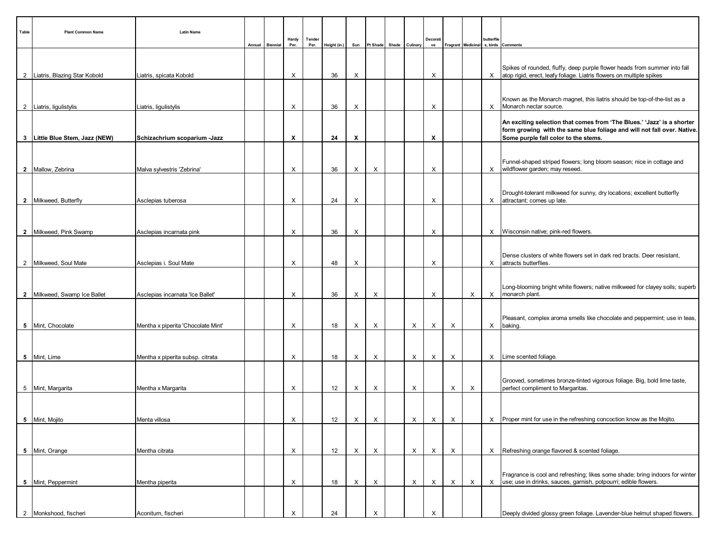| Table | <b>Plant Common Name</b>       | <b>Latin Name</b>                  | Annual | Biennial | Hardy<br>Per. | Tender<br>Per. | Height (in.) | Sun                       | Pt Shade Shade Culinary   |              | Decorati<br>ve            |          |   | butterflie | Fragrant Medicinal s, birds Comments                                                                                                                                                      |
|-------|--------------------------------|------------------------------------|--------|----------|---------------|----------------|--------------|---------------------------|---------------------------|--------------|---------------------------|----------|---|------------|-------------------------------------------------------------------------------------------------------------------------------------------------------------------------------------------|
|       |                                |                                    |        |          |               |                |              |                           |                           |              |                           |          |   |            | Spikes of rounded, fluffy, deep purple flower heads from summer into fall                                                                                                                 |
|       | 2 Liatris, Blazing Star Kobold | Liatris, spicata Kobold            |        |          | X             |                | 36           | X                         |                           |              | X                         |          |   |            | X atop rigid, erect, leafy foliage. Liatris flowers on multiple spikes                                                                                                                    |
|       | 2 Liatris, ligulistylis        | Liatris, ligulistylis              |        |          | X             |                | 36           | Х                         |                           |              | X                         |          |   |            | Known as the Monarch magnet, this liatris should be top-of-the-list as a<br>X Monarch nectar source.                                                                                      |
|       | 3 Little Blue Stem, Jazz (NEW) | Schizachrium scoparium -Jazz       |        |          | X             |                | 24           | X                         |                           |              | X                         |          |   |            | An exciting selection that comes from 'The Blues.' 'Jazz' is a shorter<br>form growing with the same blue foliage and will not fall over. Native.<br>Some purple fall color to the stems. |
|       |                                |                                    |        |          |               |                |              |                           |                           |              |                           |          |   |            |                                                                                                                                                                                           |
|       | 2 Mallow, Zebrina              | Malva sylvestris 'Zebrina'         |        |          | X             |                | 36           | X                         | X                         |              | X                         |          |   |            | Funnel-shaped striped flowers; long bloom season; nice in cottage and<br>X   wildflower garden; may reseed.                                                                               |
|       | 2 Milkweed, Butterfly          | Asclepias tuberosa                 |        |          | X             |                | 24           | X                         |                           |              | X                         |          |   |            | Drought-tolerant milkweed for sunny, dry locations; excellent butterfly<br>X attractant; comes up late.                                                                                   |
|       |                                |                                    |        |          |               |                |              |                           |                           |              |                           |          |   |            |                                                                                                                                                                                           |
|       | 2 Milkweed, Pink Swamp         | Asclepias incarnata pink           |        |          | X             |                | 36           | X                         |                           |              | X                         |          |   |            | X Wisconsin native; pink-red flowers.                                                                                                                                                     |
|       | 2 Milkweed, Soul Mate          | Asclepias i. Soul Mate             |        |          | X             |                | 48           | Х                         |                           |              | X                         |          |   |            | Dense clusters of white flowers set in dark red bracts. Deer resistant,<br>X attracts butterflies                                                                                         |
|       |                                |                                    |        |          |               |                |              |                           |                           |              |                           |          |   |            | Long-blooming bright white flowers; native milkweed for clayey soils; superb                                                                                                              |
|       | 2 Milkweed, Swamp Ice Ballet   | Asclepias incarnata 'Ice Ballet'   |        |          | X             |                | 36           | X                         | X                         |              | X                         |          | X | X          | monarch plant.                                                                                                                                                                            |
|       | 5 Mint, Chocolate              | Mentha x piperita 'Chocolate Mint' |        |          | X             |                | 18           | X                         | $\times$                  | X            | X                         | X        |   |            | Pleasant, complex aroma smells like chocolate and peppermint; use in teas,<br>X baking.                                                                                                   |
|       |                                |                                    |        |          |               |                |              |                           |                           |              |                           |          |   |            |                                                                                                                                                                                           |
|       | 5 Mint, Lime                   | Mentha x piperita subsp. citrata   |        |          | X             |                | 18           | X                         | $\times$                  | X            | X                         | X        |   |            | X   Lime scented foliage.                                                                                                                                                                 |
|       | 5 Mint, Margarita              | Mentha x Margarita                 |        |          | X             |                | 12           | X                         | X                         | X            |                           | X        | X |            | Grooved, sometimes bronze-tinted vigorous foliage. Big, bold lime taste,<br>perfect compliment to Margaritas.                                                                             |
|       |                                |                                    |        |          |               |                |              |                           |                           |              |                           |          |   |            |                                                                                                                                                                                           |
|       | 5 Mint, Mojito                 | Menta villosa                      |        |          | X             |                | 12           | $\boldsymbol{\mathsf{X}}$ | $\boldsymbol{\mathsf{X}}$ | $\mathsf{X}$ | $\boldsymbol{\mathsf{X}}$ | $\times$ |   |            | X   Proper mint for use in the refreshing concoction know as the Mojito.                                                                                                                  |
|       | 5 Mint, Orange                 | Mentha citrata                     |        |          | X             |                | 12           | X                         | X                         | X            | X                         | $\times$ |   |            | X Refreshing orange flavored & scented foliage.                                                                                                                                           |
|       |                                |                                    |        |          |               |                |              |                           |                           |              |                           |          |   |            |                                                                                                                                                                                           |
|       | 5   Mint, Peppermint           | Mentha piperita                    |        |          | X             |                | 18           | X                         | X                         | X            | $\times$                  | X        | X | $\times$   | Fragrance is cool and refreshing; likes some shade; bring indoors for winter<br>use; use in drinks, sauces, garnish, potpourri; edible flowers.                                           |
|       | 2 Monkshood, fischeri          | Aconitum, fischeri                 |        |          | X             |                | 24           |                           | X                         |              |                           |          |   |            | Deeply divided glossy green foliage. Lavender-blue helmut shaped flowers.                                                                                                                 |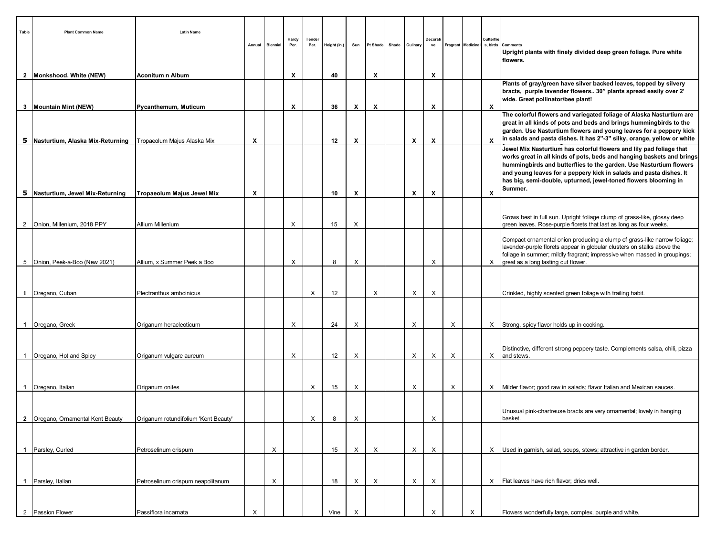| Table          | <b>Plant Common Name</b>                                       | <b>Latin Name</b><br>Annual          | <b>Biennial</b> | Hardy<br>Per. | Tender<br>Per. | Height (in.) | Sun | Pt Shade | Shade Culinary            | Decorat<br>ve |   |   | butterflie   | Fragrant   Medicinal   s, birds   Comments                                                                                                                                                                                                                                                                                                                             |
|----------------|----------------------------------------------------------------|--------------------------------------|-----------------|---------------|----------------|--------------|-----|----------|---------------------------|---------------|---|---|--------------|------------------------------------------------------------------------------------------------------------------------------------------------------------------------------------------------------------------------------------------------------------------------------------------------------------------------------------------------------------------------|
|                |                                                                |                                      |                 |               |                |              |     |          |                           |               |   |   |              | Upright plants with finely divided deep green foliage. Pure white<br>flowers.                                                                                                                                                                                                                                                                                          |
|                | 2 Monkshood, White (NEW)                                       | <b>Aconitum n Album</b>              |                 | X             |                | 40           |     | X        |                           | X             |   |   |              | Plants of gray/green have silver backed leaves, topped by silvery<br>bracts, purple lavender flowers 30" plants spread easily over 2'<br>wide. Great pollinator/bee plant!                                                                                                                                                                                             |
| 3              | <b>Mountain Mint (NEW)</b>                                     | Pycanthemum, Muticum                 |                 | Х             |                | 36           | X   | X        |                           | X             |   |   | X            |                                                                                                                                                                                                                                                                                                                                                                        |
| 5              | Nasturtium, Alaska Mix-Returning   Tropaeolum Majus Alaska Mix | Х                                    |                 |               |                | 12           | х   |          | $\boldsymbol{\mathsf{x}}$ | х             |   |   | $\mathsf{x}$ | The colorful flowers and variegated foliage of Alaska Nasturtium are<br>great in all kinds of pots and beds and brings hummingbirds to the<br>garden. Use Nasturtium flowers and young leaves for a peppery kick<br>in salads and pasta dishes. It has 2"-3" silky, orange, yellow or white                                                                            |
|                |                                                                |                                      |                 |               |                |              |     |          |                           |               |   |   |              | Jewel Mix Nasturtium has colorful flowers and lily pad foliage that<br>works great in all kinds of pots, beds and hanging baskets and brings<br>hummingbirds and butterflies to the garden. Use Nasturtium flowers<br>and young leaves for a peppery kick in salads and pasta dishes. It<br>has big, semi-double, upturned, jewel-toned flowers blooming in<br>Summer. |
| 5              | Nasturtium, Jewel Mix-Returning                                | Tropaeolum Majus Jewel Mix<br>Х      |                 |               |                | 10           | х   |          | X                         | X             |   |   | X            |                                                                                                                                                                                                                                                                                                                                                                        |
| $\overline{2}$ | Onion, Millenium, 2018 PPY                                     | Allium Millenium                     |                 | X             |                | 15           | X   |          |                           |               |   |   |              | Grows best in full sun. Upright foliage clump of grass-like, glossy deep<br>green leaves. Rose-purple florets that last as long as four weeks.                                                                                                                                                                                                                         |
|                |                                                                | Allium, x Summer Peek a Boo          |                 | X             |                |              |     |          |                           |               |   |   |              | Compact ornamental onion producing a clump of grass-like narrow foliage;<br>lavender-purple florets appear in globular clusters on stalks above the<br>foliage in summer; mildly fragrant; impressive when massed in groupings;                                                                                                                                        |
|                | 5   Onion, Peek-a-Boo (New 2021)                               |                                      |                 |               |                | 8            | X   |          |                           | X             |   |   |              | X great as a long lasting cut flower.                                                                                                                                                                                                                                                                                                                                  |
|                |                                                                |                                      |                 |               |                |              |     |          |                           |               |   |   |              |                                                                                                                                                                                                                                                                                                                                                                        |
|                | 1   Oregano, Cuban                                             | Plectranthus amboinicus              |                 |               | X              | 12           |     | X        | X                         | X             |   |   |              | Crinkled, highly scented green foliage with trailing habit.                                                                                                                                                                                                                                                                                                            |
|                |                                                                |                                      |                 |               |                |              |     |          |                           |               |   |   |              |                                                                                                                                                                                                                                                                                                                                                                        |
|                | 1   Oregano, Greek                                             | Origanum heracleoticum               |                 | Х             |                | 24           | X   |          | X                         |               | X |   |              | X Strong, spicy flavor holds up in cooking.                                                                                                                                                                                                                                                                                                                            |
| $\mathbf{1}$   | Oregano, Hot and Spicy                                         | Origanum vulgare aureum              |                 | X             |                | 12           | X   |          | X                         | X             | X |   |              | Distinctive, different strong peppery taste. Complements salsa, chili, pizza<br>X and stews.                                                                                                                                                                                                                                                                           |
|                |                                                                |                                      |                 |               |                |              |     |          |                           |               |   |   |              |                                                                                                                                                                                                                                                                                                                                                                        |
| $\mathbf 1$    | Oregano, Italian                                               | Origanum onites                      |                 |               | X              | 15           | X   |          | X                         |               | X |   |              | $X$ Milder flavor; good raw in salads; flavor Italian and Mexican sauces.                                                                                                                                                                                                                                                                                              |
|                | 2   Oregano, Ornamental Kent Beauty                            | Origanum rotundifolium 'Kent Beauty' |                 |               | X              | 8            | X   |          |                           | X             |   |   |              | Unusual pink-chartreuse bracts are very ornamental; lovely in hanging<br>basket.                                                                                                                                                                                                                                                                                       |
|                |                                                                |                                      |                 |               |                |              |     |          |                           |               |   |   |              |                                                                                                                                                                                                                                                                                                                                                                        |
| $\mathbf{1}$   | Parsley, Curled                                                | Petroselinum crispum                 | Х               |               |                | 15           | X   | $\times$ | $\mathsf{X}$              | X             |   |   |              | X Used in garnish, salad, soups, stews; attractive in garden border.                                                                                                                                                                                                                                                                                                   |
|                | 1 Parsley, Italian                                             | Petroselinum crispum neapolitanum    | Х               |               |                | 18           | X   | $\times$ | X                         | X             |   |   |              | X   Flat leaves have rich flavor; dries well                                                                                                                                                                                                                                                                                                                           |
|                |                                                                |                                      |                 |               |                |              |     |          |                           |               |   |   |              |                                                                                                                                                                                                                                                                                                                                                                        |
|                | 2   Passion Flower                                             | Passiflora incarnata<br>X            |                 |               |                | Vine         | X   |          |                           | Х             |   | X |              | Flowers wonderfully large, complex, purple and white.                                                                                                                                                                                                                                                                                                                  |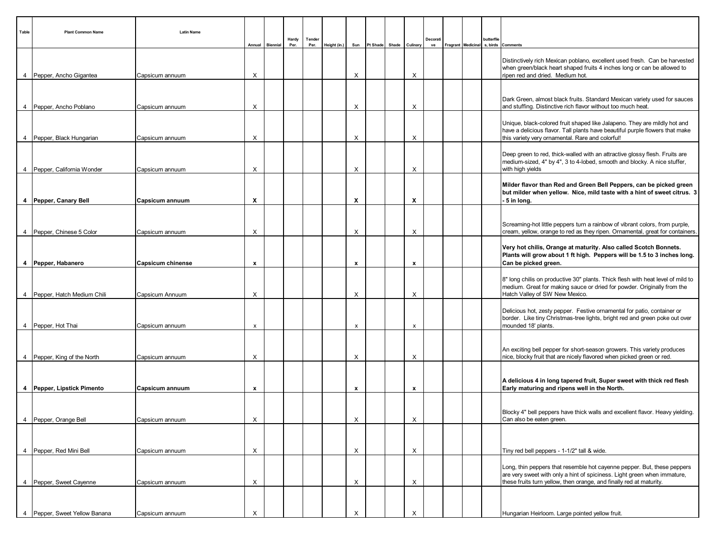| Table          | <b>Plant Common Name</b>       | <b>Latin Name</b>                        | Annual | Biennial | Hardy<br>Per. | Tender<br>Per. | Height (in.) | Sun | Pt Shade Shade Culinary |          | Decorati<br>ve | Fragrant Medicinal | butterflie | s, birds Comments                                                                                                                                                                                                          |
|----------------|--------------------------------|------------------------------------------|--------|----------|---------------|----------------|--------------|-----|-------------------------|----------|----------------|--------------------|------------|----------------------------------------------------------------------------------------------------------------------------------------------------------------------------------------------------------------------------|
|                | 4   Pepper, Ancho Gigantea     | Χ                                        |        |          |               |                |              | X   |                         | X        |                |                    |            | Distinctively rich Mexican poblano, excellent used fresh. Can be harvested<br>when green/black heart shaped fruits 4 inches long or can be allowed to<br>ripen red and dried. Medium hot.                                  |
|                |                                | Capsicum annuum                          |        |          |               |                |              |     |                         |          |                |                    |            |                                                                                                                                                                                                                            |
| 4              | Pepper, Ancho Poblano          | Χ<br>Capsicum annuum                     |        |          |               |                |              | X   |                         | Х        |                |                    |            | Dark Green, almost black fruits. Standard Mexican variety used for sauces<br>and stuffing. Distinctive rich flavor without too much heat.                                                                                  |
| $\overline{4}$ | Pepper, Black Hungarian        | X<br>Capsicum annuum                     |        |          |               |                |              | X   |                         | X        |                |                    |            | Unique, black-colored fruit shaped like Jalapeno. They are mildly hot and<br>have a delicious flavor. Tall plants have beautiful purple flowers that make<br>this variety very ornamental. Rare and colorful!              |
|                |                                |                                          |        |          |               |                |              |     |                         |          |                |                    |            | Deep green to red, thick-walled with an attractive glossy flesh. Fruits are<br>medium-sized, 4" by 4", 3 to 4-lobed, smooth and blocky. A nice stuffer,                                                                    |
|                | 4   Pepper, California Wonder  | Х<br>Capsicum annuum                     |        |          |               |                |              | х   |                         | X        |                |                    |            | with high yields<br>Milder flavor than Red and Green Bell Peppers, can be picked green<br>but milder when yellow. Nice, mild taste with a hint of sweet citrus. 3                                                          |
|                | 4   Pepper, Canary Bell        | X<br>Capsicum annuum                     |        |          |               |                |              | X   |                         | X        |                |                    |            | 5 in long.                                                                                                                                                                                                                 |
|                | 4 Pepper, Chinese 5 Color      | Χ<br>Capsicum annuum                     |        |          |               |                |              | X   |                         | X        |                |                    |            | Screaming-hot little peppers turn a rainbow of vibrant colors, from purple,<br>cream, yellow, orange to red as they ripen. Ornamental, great for containers.                                                               |
|                | 4   Pepper, Habanero           | <b>Capsicum chinense</b><br>$\mathbf{x}$ |        |          |               |                |              | x   |                         | x        |                |                    |            | Very hot chilis, Orange at maturity. Also called Scotch Bonnets.<br>Plants will grow about 1 ft high. Peppers will be 1.5 to 3 inches long.<br>Can be picked green.                                                        |
|                | 4   Pepper, Hatch Medium Chili | X<br>Capsicum Annuum                     |        |          |               |                |              | X   |                         | X        |                |                    |            | 8" long chilis on productive 30" plants. Thick flesh with heat level of mild to<br>medium. Great for making sauce or dried for powder. Originally from the<br>Hatch Valley of SW New Mexico.                               |
|                | 4 Pepper, Hot Thai             | Capsicum annuum                          | x      |          |               |                |              | X   |                         | X        |                |                    |            | Delicious hot, zesty pepper. Festive ornamental for patio, container or<br>border. Like tiny Christmas-tree lights, bright red and green poke out over<br>mounded 18' plants.                                              |
|                |                                |                                          |        |          |               |                |              |     |                         |          |                |                    |            |                                                                                                                                                                                                                            |
|                | 4 Pepper, King of the North    | X<br>Capsicum annuum                     |        |          |               |                |              | X   |                         | X        |                |                    |            | An exciting bell pepper for short-season growers. This variety produces<br>nice, blocky fruit that are nicely flavored when picked green or red.                                                                           |
|                | 4 Pepper, Lipstick Pimento     | Capsicum annuum<br>x                     |        |          |               |                |              | x   |                         | x        |                |                    |            | A delicious 4 in long tapered fruit, Super sweet with thick red flesh<br>Early maturing and ripens well in the North.                                                                                                      |
|                |                                |                                          |        |          |               |                |              |     |                         |          |                |                    |            |                                                                                                                                                                                                                            |
|                | 4 Pepper, Orange Bell          | X<br>Capsicum annuum                     |        |          |               |                |              | X   |                         | X        |                |                    |            | Blocky 4" bell peppers have thick walls and excellent flavor. Heavy yielding.<br>Can also be eaten green.                                                                                                                  |
|                |                                |                                          |        |          |               |                |              |     |                         |          |                |                    |            |                                                                                                                                                                                                                            |
|                | 4   Pepper, Red Mini Bell      | Χ<br>Capsicum annuum                     |        |          |               |                |              | X   |                         | X        |                |                    |            | Tiny red bell peppers - 1-1/2" tall & wide.                                                                                                                                                                                |
| 4              | Pepper, Sweet Cayenne          |                                          | X      |          |               |                |              | X   |                         | X        |                |                    |            | Long, thin peppers that resemble hot cayenne pepper. But, these peppers<br>are very sweet with only a hint of spiciness. Light green when immature,<br>these fruits turn yellow, then orange, and finally red at maturity. |
|                |                                | Capsicum annuum                          |        |          |               |                |              |     |                         |          |                |                    |            |                                                                                                                                                                                                                            |
| $\overline{4}$ | Pepper, Sweet Yellow Banana    | Capsicum annuum<br>Χ                     |        |          |               |                |              |     |                         | $\times$ |                |                    |            | Hungarian Heirloom. Large pointed yellow fruit.                                                                                                                                                                            |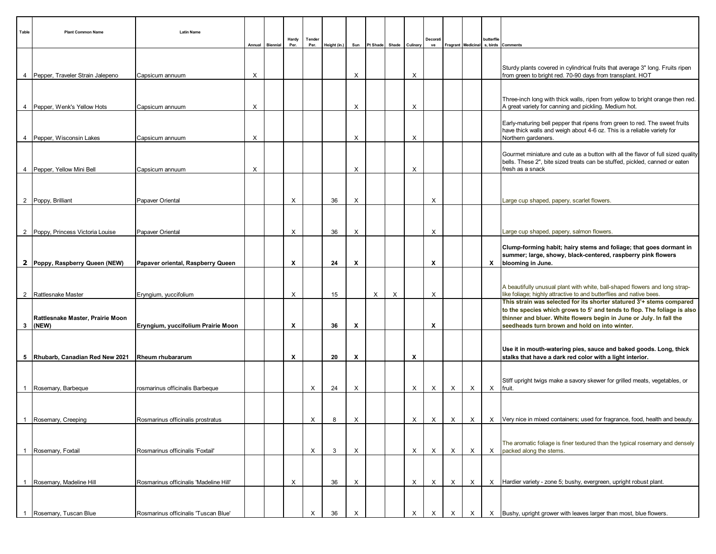| Table          | <b>Plant Common Name</b>                      | <b>Latin Name</b>                      | Annual | <b>Biennial</b> | Hardy<br>Per. | Tender<br>Per. | Height (in.) | Sun |   | Pt Shade Shade Culinary |          | Decorati<br>ve | Fragrant Medicinal |          | butterflie<br>s, birds | Comments                                                                                                                                                                            |
|----------------|-----------------------------------------------|----------------------------------------|--------|-----------------|---------------|----------------|--------------|-----|---|-------------------------|----------|----------------|--------------------|----------|------------------------|-------------------------------------------------------------------------------------------------------------------------------------------------------------------------------------|
|                |                                               |                                        |        |                 |               |                |              |     |   |                         |          |                |                    |          |                        |                                                                                                                                                                                     |
|                | 4   Pepper, Traveler Strain Jalepeno          | Capsicum annuum                        | X      |                 |               |                |              | X   |   |                         | X        |                |                    |          |                        | Sturdy plants covered in cylindrical fruits that average 3" long. Fruits ripen<br>from green to bright red. 70-90 days from transplant. HOT                                         |
|                |                                               |                                        |        |                 |               |                |              |     |   |                         |          |                |                    |          |                        |                                                                                                                                                                                     |
|                | 4   Pepper, Wenk's Yellow Hots                | Capsicum annuum                        | X      |                 |               |                |              | Х   |   |                         | X        |                |                    |          |                        | Three-inch long with thick walls, ripen from yellow to bright orange then red.<br>A great variety for canning and pickling. Medium hot.                                             |
|                |                                               |                                        |        |                 |               |                |              |     |   |                         |          |                |                    |          |                        | Early-maturing bell pepper that ripens from green to red. The sweet fruits                                                                                                          |
|                | 4   Pepper, Wisconsin Lakes                   | Capsicum annuum                        | X      |                 |               |                |              | X   |   |                         | X        |                |                    |          |                        | have thick walls and weigh about 4-6 oz. This is a reliable variety for<br>Northern gardeners.                                                                                      |
|                | 4   Pepper, Yellow Mini Bell                  |                                        | X      |                 |               |                |              | X   |   |                         | X        |                |                    |          |                        | Gourmet miniature and cute as a button with all the flavor of full sized quality<br>bells. These 2", bite sized treats can be stuffed, pickled, canned or eaten<br>fresh as a snack |
|                |                                               | Capsicum annuum                        |        |                 |               |                |              |     |   |                         |          |                |                    |          |                        |                                                                                                                                                                                     |
|                | 2 Poppy, Brilliant                            | Papaver Oriental                       |        |                 | X             |                | 36           | X   |   |                         |          | Х              |                    |          |                        | Large cup shaped, papery, scarlet flowers.                                                                                                                                          |
|                |                                               |                                        |        |                 |               |                |              |     |   |                         |          |                |                    |          |                        |                                                                                                                                                                                     |
|                | 2 Poppy, Princess Victoria Louise             | Papaver Oriental                       |        |                 | $\times$      |                | 36           | Х   |   |                         |          | Х              |                    |          |                        | Large cup shaped, papery, salmon flowers.                                                                                                                                           |
|                |                                               |                                        |        |                 |               |                |              |     |   |                         |          |                |                    |          |                        | Clump-forming habit; hairy stems and foliage; that goes dormant in                                                                                                                  |
|                | 2 Poppy, Raspberry Queen (NEW)                | Papaver oriental, Raspberry Queen      |        |                 | X             |                | 24           | Х   |   |                         |          | х              |                    |          |                        | summer; large, showy, black-centered, raspberry pink flowers<br>X blooming in June.                                                                                                 |
|                |                                               |                                        |        |                 |               |                |              |     |   |                         |          |                |                    |          |                        |                                                                                                                                                                                     |
| $\overline{2}$ | Rattlesnake Master                            | Eryngium, yuccifolium                  |        |                 | X             |                | 15           |     | X | X                       |          | X              |                    |          |                        | A beautifully unusual plant with white, ball-shaped flowers and long strap-<br>like foliage; highly attractive to and butterflies and native bees.                                  |
|                |                                               |                                        |        |                 |               |                |              |     |   |                         |          |                |                    |          |                        | This strain was selected for its shorter statured 3'+ stems compared<br>to the species which grows to 5' and tends to flop. The foliage is also                                     |
|                | Rattlesnake Master, Prairie Moon<br>$3$ (NEW) | Eryngium, yuccifolium Prairie Moon     |        |                 | X             |                | 36           | X   |   |                         |          | X              |                    |          |                        | thinner and bluer. White flowers begin in June or July. In fall the<br>seedheads turn brown and hold on into winter.                                                                |
|                |                                               |                                        |        |                 |               |                |              |     |   |                         |          |                |                    |          |                        |                                                                                                                                                                                     |
|                | 5 Rhubarb, Canadian Red New 2021              | <b>Rheum rhubararum</b>                |        |                 | x             |                | 20           | X   |   |                         | X        |                |                    |          |                        | Use it in mouth-watering pies, sauce and baked goods. Long, thick<br>stalks that have a dark red color with a light interior.                                                       |
|                |                                               |                                        |        |                 |               |                |              |     |   |                         |          |                |                    |          |                        |                                                                                                                                                                                     |
|                | 1 Rosemary, Barbeque                          | rosmarinus officinalis Barbeque        |        |                 |               | X              | 24           | Х   |   |                         | X        | X              | X                  | Χ        | X                      | Stiff upright twigs make a savory skewer for grilled meats, vegetables, or<br>fruit.                                                                                                |
|                |                                               |                                        |        |                 |               |                |              |     |   |                         |          |                |                    |          |                        |                                                                                                                                                                                     |
|                | 1 Rosemary, Creeping                          | Rosmarinus officinalis prostratus      |        |                 |               | X              | 8            | X   |   |                         | $\times$ | $\mathsf{X}$   | $\times$           | $\times$ |                        | $X$ Very nice in mixed containers; used for fragrance, food, health and beauty.                                                                                                     |
|                |                                               |                                        |        |                 |               |                |              |     |   |                         |          |                |                    |          |                        |                                                                                                                                                                                     |
|                | 1 Rosemary, Foxtail                           | Rosmarinus officinalis 'Foxtail'       |        |                 |               | X              | 3            | Х   |   |                         | X        | X              | X                  | $\times$ | Χ                      | The aromatic foliage is finer textured than the typical rosemary and densely<br>packed along the stems.                                                                             |
|                |                                               |                                        |        |                 |               |                |              |     |   |                         |          |                |                    |          |                        |                                                                                                                                                                                     |
| $\overline{1}$ | Rosemary, Madeline Hill                       | Rosmarinus officinalis 'Madeline Hill' |        |                 | X             |                | 36           | X   |   |                         | X        | X              | Х                  | Х        |                        | X   Hardier variety - zone 5; bushy, evergreen, upright robust plant.                                                                                                               |
|                |                                               |                                        |        |                 |               |                |              |     |   |                         |          |                |                    |          |                        |                                                                                                                                                                                     |
| 1              | Rosemary, Tuscan Blue                         | Rosmarinus officinalis 'Tuscan Blue'   |        |                 |               | X              | 36           |     |   |                         | X        | Х              | Х                  | Х        |                        | X   Bushy, upright grower with leaves larger than most, blue flowers.                                                                                                               |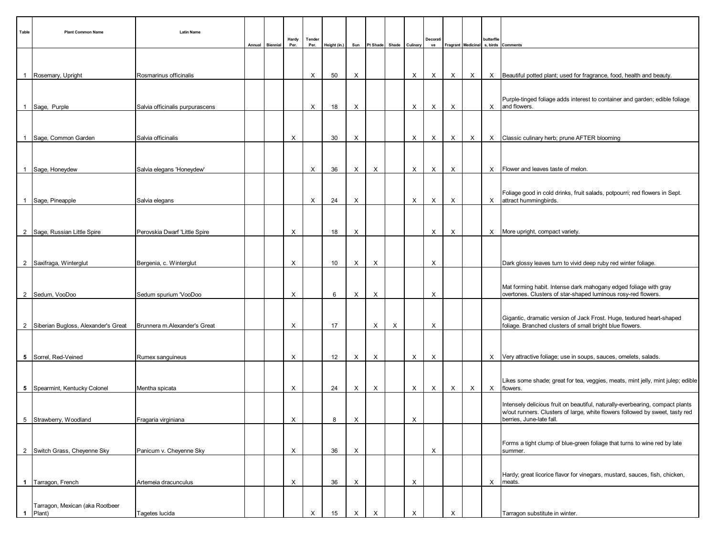| Table           | <b>Plant Common Name</b>                  | <b>Latin Name</b>               | Annual | <b>Biennial</b> | Hardy<br>Per. | Tender<br>Per. | Height (in.) | Sun | Pt Shade Shade Culinary |   |   | Decorati<br>ve |   |   | butterflie | Fragrant   Medicinal   s, birds   Comments                                                                                        |
|-----------------|-------------------------------------------|---------------------------------|--------|-----------------|---------------|----------------|--------------|-----|-------------------------|---|---|----------------|---|---|------------|-----------------------------------------------------------------------------------------------------------------------------------|
|                 |                                           |                                 |        |                 |               |                |              |     |                         |   |   |                |   |   |            |                                                                                                                                   |
|                 | 1 Rosemary, Upright                       | Rosmarinus officinalis          |        |                 |               | X              | 50           | Х   |                         |   | X | X              | X | X |            | $X$ Beautiful potted plant; used for fragrance, food, health and beauty.                                                          |
|                 | 1 Sage, Purple                            | Salvia officinalis purpurascens |        |                 |               | X              | 18           | Х   |                         |   | X | Х              | X |   |            | Purple-tinged foliage adds interest to container and garden; edible foliage<br>$X$ and flowers.                                   |
|                 |                                           |                                 |        |                 |               |                |              |     |                         |   |   |                |   |   |            |                                                                                                                                   |
|                 | 1 Sage, Common Garden                     | Salvia officinalis              |        |                 | X             |                | 30           | Х   |                         |   | X | Х              | X | Х |            | X Classic culinary herb; prune AFTER blooming                                                                                     |
|                 |                                           |                                 |        |                 |               |                |              |     |                         |   |   |                |   |   |            |                                                                                                                                   |
|                 | 1 Sage, Honeydew                          | Salvia elegans 'Honeydew'       |        |                 |               | X              | 36           | Х   | X                       |   | X | Х              | X |   |            | X   Flower and leaves taste of melon.                                                                                             |
|                 |                                           |                                 |        |                 |               |                |              |     |                         |   |   |                |   |   |            |                                                                                                                                   |
|                 | 1 Sage, Pineapple                         | Salvia elegans                  |        |                 |               | X              | 24           | X   |                         |   | X | X              | X |   |            | Foliage good in cold drinks, fruit salads, potpourri; red flowers in Sept.<br>X attract hummingbirds.                             |
|                 |                                           |                                 |        |                 |               |                |              |     |                         |   |   |                |   |   |            |                                                                                                                                   |
|                 | 2   Sage, Russian Little Spire            | Perovskia Dwarf 'Little Spire   |        |                 | X             |                | 18           | Х   |                         |   |   | Х              | X |   |            | X   More upright, compact variety.                                                                                                |
|                 |                                           |                                 |        |                 |               |                |              |     |                         |   |   |                |   |   |            |                                                                                                                                   |
|                 | 2 Saxifraga, Winterglut                   | Bergenia, c. Winterglut         |        |                 | X             |                | 10           | X   | X                       |   |   | X              |   |   |            | Dark glossy leaves turn to vivid deep ruby red winter foliage.                                                                    |
|                 |                                           |                                 |        |                 |               |                |              |     |                         |   |   |                |   |   |            |                                                                                                                                   |
|                 | 2   Sedum, VooDoo                         | Sedum spurium 'VooDoo           |        |                 | X             |                | 6            | X   | X                       |   |   | X              |   |   |            | Mat forming habit. Intense dark mahogany edged foliage with gray<br>overtones. Clusters of star-shaped luminous rosy-red flowers. |
|                 |                                           |                                 |        |                 |               |                |              |     |                         |   |   |                |   |   |            |                                                                                                                                   |
|                 | 2 Siberian Bugloss, Alexander's Great     | Brunnera m.Alexander's Great    |        |                 | X             |                | 17           |     | X                       | X |   | X              |   |   |            | Gigantic, dramatic version of Jack Frost. Huge, textured heart-shaped<br>foliage. Branched clusters of small bright blue flowers. |
|                 |                                           |                                 |        |                 |               |                |              |     |                         |   |   |                |   |   |            |                                                                                                                                   |
|                 | 5   Sorrel, Red-Veined                    | Rumex sanguineus                |        |                 | X             |                | 12           | X   | $\times$                |   | X | X              |   |   |            | X Very attractive foliage; use in soups, sauces, omelets, salads.                                                                 |
|                 |                                           |                                 |        |                 |               |                |              |     |                         |   |   |                |   |   |            |                                                                                                                                   |
|                 | 5   Spearmint, Kentucky Colonel           | Mentha spicata                  |        |                 | X             |                | 24           | X   | X                       |   | X | $\times$       | X | X |            | Likes some shade; great for tea, veggies, meats, mint jelly, mint julep; edible<br>X flowers.                                     |
|                 |                                           |                                 |        |                 |               |                |              |     |                         |   |   |                |   |   |            | Intensely delicious fruit on beautiful, naturally-everbearing, compact plants                                                     |
| $5\overline{)}$ | Strawberry, Woodland                      | Fragaria virginiana             |        |                 | $\times$      |                | 8            | X   |                         |   | X |                |   |   |            | w/out runners. Clusters of large, white flowers followed by sweet, tasty red<br>berries, June-late fall.                          |
|                 |                                           |                                 |        |                 |               |                |              |     |                         |   |   |                |   |   |            |                                                                                                                                   |
|                 | 2 Switch Grass, Cheyenne Sky              | Panicum v. Cheyenne Sky         |        |                 | X             |                | 36           | Х   |                         |   |   | Х              |   |   |            | Forms a tight clump of blue-green foliage that turns to wine red by late<br>summer.                                               |
|                 |                                           |                                 |        |                 |               |                |              |     |                         |   |   |                |   |   |            |                                                                                                                                   |
|                 | 1   Tarragon, French                      | Artemeia dracunculus            |        |                 | X             |                | 36           | X   |                         |   | X |                |   |   | X          | Hardy; great licorice flavor for vinegars, mustard, sauces, fish, chicken,<br>meats.                                              |
|                 |                                           |                                 |        |                 |               |                |              |     |                         |   |   |                |   |   |            |                                                                                                                                   |
| $\overline{1}$  | Tarragon, Mexican (aka Rootbeer<br>Plant) | Tagetes lucida                  |        |                 |               | X              | 15           | Х   | X                       |   | X |                |   |   |            | Tarragon substitute in winter.                                                                                                    |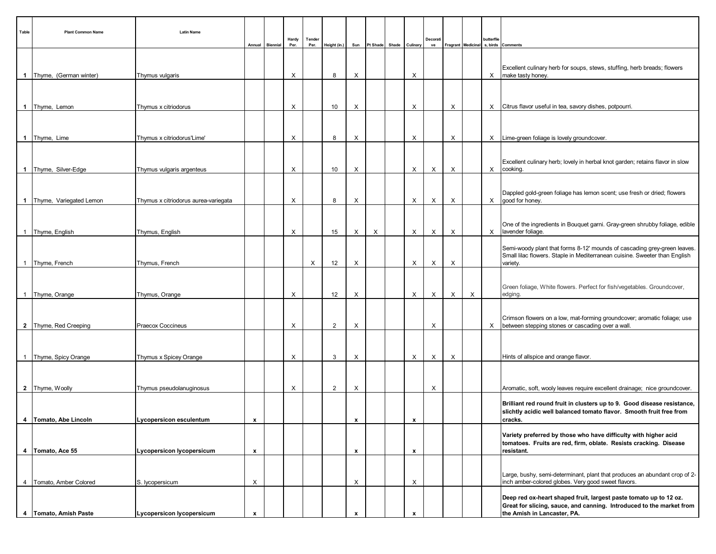| Table          | <b>Plant Common Name</b>   | <b>Latin Name</b>                    | Annual                    | Biennial | Hardy<br>Per. | Tender<br>Per. | Height (in.)   | Sun                |   | Pt Shade Shade Culinary |                  | Decorati<br>ve |   |   | butterflie | Fragrant Medicinal s, birds Comments                                                                                                                                     |
|----------------|----------------------------|--------------------------------------|---------------------------|----------|---------------|----------------|----------------|--------------------|---|-------------------------|------------------|----------------|---|---|------------|--------------------------------------------------------------------------------------------------------------------------------------------------------------------------|
|                |                            |                                      |                           |          |               |                |                |                    |   |                         |                  |                |   |   |            | Excellent culinary herb for soups, stews, stuffing, herb breads; flowers                                                                                                 |
|                | 1   Thyme, (German winter) | Thymus vulgaris                      |                           |          | X             |                | 8              | X                  |   |                         | X                |                |   |   | X          | make tasty honey.                                                                                                                                                        |
|                |                            |                                      |                           |          |               |                |                |                    |   |                         |                  |                |   |   |            |                                                                                                                                                                          |
|                | 1 Thyme, Lemon             | Thymus x citriodorus                 |                           |          | X             |                | 10             | Х                  |   |                         | X                |                | X |   |            | X Citrus flavor useful in tea, savory dishes, potpourri.                                                                                                                 |
|                | 1 Thyme, Lime              | Thymus x citriodorus'Lime'           |                           |          | X             |                | 8              | X                  |   |                         | X                |                | X |   |            | X Lime-green foliage is lovely groundcover.                                                                                                                              |
|                |                            |                                      |                           |          |               |                |                |                    |   |                         |                  |                |   |   |            | Excellent culinary herb; lovely in herbal knot garden; retains flavor in slow                                                                                            |
|                | 1   Thyme, Silver-Edge     | Thymus vulgaris argenteus            |                           |          | X             |                | 10             | X                  |   |                         | X                | Х              | X |   |            | X cooking.                                                                                                                                                               |
|                | 1 Thyme, Variegated Lemon  | Thymus x citriodorus aurea-variegata |                           |          | Χ             |                | 8              | X                  |   |                         | X                | X              | X |   |            | Dappled gold-green foliage has lemon scent; use fresh or dried; flowers<br>$X$ good for honey.                                                                           |
|                |                            |                                      |                           |          |               |                |                |                    |   |                         |                  |                |   |   |            |                                                                                                                                                                          |
|                | 1 Thyme, English           | Thymus, English                      |                           |          | Х             |                | 15             | X                  | X |                         | X                | Х              | X |   |            | One of the ingredients in Bouquet garni. Gray-green shrubby foliage, edible<br>X   lavender foliage.                                                                     |
|                | 1 Thyme, French            | Thymus, French                       |                           |          |               | X              | 12             | Х                  |   |                         | X                | Х              | X |   |            | Semi-woody plant that forms 8-12' mounds of cascading grey-green leaves.<br>Small lilac flowers. Staple in Mediterranean cuisine. Sweeter than English<br>variety.       |
|                |                            |                                      |                           |          |               |                |                |                    |   |                         |                  |                |   |   |            |                                                                                                                                                                          |
|                | 1 Thyme, Orange            | Thymus, Orange                       |                           |          | X             |                | 12             | Х                  |   |                         | X                | Х              | X | X |            | Green foliage, White flowers. Perfect for fish/vegetables. Groundcover,<br>edging.                                                                                       |
|                | 2 Thyme, Red Creeping      | Praecox Coccineus                    |                           |          | Χ             |                | $\overline{2}$ | X                  |   |                         |                  | X              |   |   |            | Crimson flowers on a low, mat-forming groundcover; aromatic foliage; use<br>X between stepping stones or cascading over a wall.                                          |
|                |                            |                                      |                           |          |               |                |                |                    |   |                         |                  |                |   |   |            |                                                                                                                                                                          |
|                | 1 Thyme, Spicy Orange      | Thymus x Spicey Orange               |                           |          | X             |                | 3              | Х                  |   |                         | X                | X              | X |   |            | Hints of allspice and orange flavor.                                                                                                                                     |
|                |                            |                                      |                           |          |               |                |                |                    |   |                         |                  |                |   |   |            |                                                                                                                                                                          |
|                | 2 Thyme, Woolly            | Thymus pseudolanuginosus             |                           |          | X             |                | $\overline{2}$ | Х                  |   |                         |                  | Х              |   |   |            | Aromatic, soft, wooly leaves require excellent drainage; nice groundcover.                                                                                               |
|                | 4   Tomato, Abe Lincoln    | Lycopersicon esculentum              | $\mathbf{x}$              |          |               |                |                | $\pmb{\mathsf{x}}$ |   |                         | $\mathbf x$      |                |   |   |            | Brilliant red round fruit in clusters up to 9. Good disease resistance,<br>slichtly acidic well balanced tomato flavor. Smooth fruit free from<br>cracks.                |
|                | 4   Tomato, Ace 55         | <b>Lycopersicon lycopersicum</b>     | $\mathbf{x}$              |          |               |                |                | x                  |   |                         | $\boldsymbol{x}$ |                |   |   |            | Variety preferred by those who have difficulty with higher acid<br>tomatoes. Fruits are red, firm, oblate. Resists cracking. Disease<br>resistant.                       |
|                |                            |                                      |                           |          |               |                |                |                    |   |                         |                  |                |   |   |            |                                                                                                                                                                          |
| $\overline{4}$ | Tomato, Amber Colored      | S. lycopersicum                      | $\times$                  |          |               |                |                | X                  |   |                         | X                |                |   |   |            | Large, bushy, semi-determinant, plant that produces an abundant crop of 2-<br>inch amber-colored globes. Very good sweet flavors.                                        |
|                | 4   Tomato, Amish Paste    | Lycopersicon lycopersicum            | $\boldsymbol{\mathsf{x}}$ |          |               |                |                |                    |   |                         |                  |                |   |   |            | Deep red ox-heart shaped fruit, largest paste tomato up to 12 oz.<br>Great for slicing, sauce, and canning. Introduced to the market from<br>the Amish in Lancaster, PA. |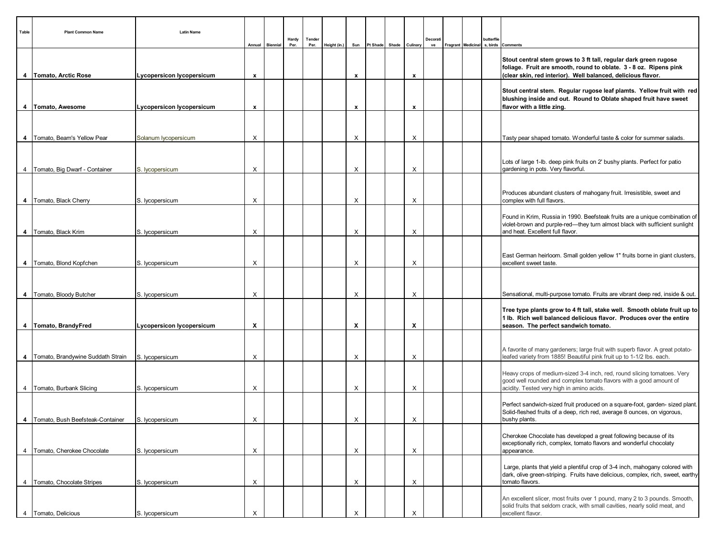| Table          | <b>Plant Common Name</b>              | <b>Latin Name</b>                | Annual                    | Biennial | Hardy<br>Per. | Tender<br>Per. | Height (in.) | Sun | Pt Shade Shade Culinary |              | Decorati<br>ve |  | butterflie | Fragrant Medicinal s, birds Comments                                                                                                                                                                  |
|----------------|---------------------------------------|----------------------------------|---------------------------|----------|---------------|----------------|--------------|-----|-------------------------|--------------|----------------|--|------------|-------------------------------------------------------------------------------------------------------------------------------------------------------------------------------------------------------|
|                | 4   Tomato, Arctic Rose               | <b>Lycopersicon lycopersicum</b> | $\mathbf{x}$              |          |               |                |              | x   |                         | $\pmb{\chi}$ |                |  |            | Stout central stem grows to 3 ft tall, regular dark green rugose<br>foliage. Fruit are smooth, round to oblate. 3 - 8 oz. Ripens pink<br>(clear skin, red interior). Well balanced, delicious flavor. |
|                | 4   Tomato, Awesome                   | <b>Lycopersicon lycopersicum</b> | x                         |          |               |                |              | x   |                         | x            |                |  |            | Stout central stem. Regular rugose leaf plamts. Yellow fruit with red<br>blushing inside and out. Round to Oblate shaped fruit have sweet<br>flavor with a little zing.                               |
|                |                                       |                                  |                           |          |               |                |              |     |                         |              |                |  |            |                                                                                                                                                                                                       |
|                | 4   Tomato, Beam's Yellow Pear        | Solanum lycopersicum             | X                         |          |               |                |              | X   |                         | X            |                |  |            | Tasty pear shaped tomato. Wonderful taste & color for summer salads.                                                                                                                                  |
|                | 4   Tomato, Big Dwarf - Container     | S. lycopersicum                  | X                         |          |               |                |              | X   |                         | X            |                |  |            | Lots of large 1-lb. deep pink fruits on 2' bushy plants. Perfect for patio<br>gardening in pots. Very flavorful.                                                                                      |
|                | 4   Tomato, Black Cherry              | S. lycopersicum                  | X                         |          |               |                |              | X   |                         | X            |                |  |            | Produces abundant clusters of mahogany fruit. Irresistible, sweet and<br>complex with full flavors.                                                                                                   |
|                | 4   Tomato, Black Krim                | S. lycopersicum                  | Х                         |          |               |                |              | Х   |                         | X            |                |  |            | Found in Krim, Russia in 1990. Beefsteak fruits are a unique combination of<br>violet-brown and purple-red-they turn almost black with sufficient sunlight<br>and heat. Excellent full flavor.        |
|                | 4   Tomato, Blond Kopfchen            | S. lycopersicum                  | X                         |          |               |                |              | Х   |                         | X            |                |  |            | East German heirloom. Small golden yellow 1" fruits borne in giant clusters,<br>excellent sweet taste.                                                                                                |
|                |                                       |                                  |                           |          |               |                |              |     |                         |              |                |  |            |                                                                                                                                                                                                       |
|                | 4   Tomato, Bloody Butcher            | S. lycopersicum                  | Х                         |          |               |                |              | X   |                         | X            |                |  |            | Sensational, multi-purpose tomato. Fruits are vibrant deep red, inside & out.                                                                                                                         |
|                | 4   Tomato, BrandyFred                | Lycopersicon lycopersicum        | X                         |          |               |                |              | X   |                         | X            |                |  |            | Tree type plants grow to 4 ft tall, stake well. Smooth oblate fruit up to<br>1 lb. Rich well balanced delicious flavor. Produces over the entire<br>season. The perfect sandwich tomato.              |
|                | 4   Tomato, Brandywine Suddath Strain | S. lycopersicum                  | X                         |          |               |                |              | X   |                         | X            |                |  |            | A favorite of many gardeners; large fruit with superb flavor. A great potato-<br>leafed variety from 1885! Beautiful pink fruit up to 1-1/2 lbs. each.                                                |
|                |                                       |                                  |                           |          |               |                |              |     |                         |              |                |  |            | Heavy crops of medium-sized 3-4 inch, red, round slicing tomatoes. Very<br>good well rounded and complex tomato flavors with a good amount of                                                         |
|                | 4   Tomato, Burbank Slicing           | S. lycopersicum                  | X                         |          |               |                |              | Х   |                         | X            |                |  |            | acidity. Tested very high in amino acids.<br>Perfect sandwich-sized fruit produced on a square-foot, garden-sized plant.<br>Solid-fleshed fruits of a deep, rich red, average 8 ounces, on vigorous,  |
|                | 4   Tomato, Bush Beefsteak-Container  | S. lycopersicum                  | $\boldsymbol{\mathsf{X}}$ |          |               |                |              | X   |                         | X            |                |  |            | bushy plants.<br>Cherokee Chocolate has developed a great following because of its<br>exceptionally rich, complex, tomato flavors and wonderful chocolaty                                             |
|                | 4   Tomato, Cherokee Chocolate        | S. lycopersicum                  | X                         |          |               |                |              | Х   |                         | X            |                |  |            | appearance.                                                                                                                                                                                           |
| $\overline{4}$ | Tomato, Chocolate Stripes             | S. lycopersicum                  | $\times$                  |          |               |                |              | X   |                         | X            |                |  |            | Large, plants that yield a plentiful crop of 3-4 inch, mahogany colored with<br>dark, olive green-striping. Fruits have delicious, complex, rich, sweet, earthy<br>tomato flavors.                    |
| 4              | Tomato, Delicious                     | S. lycopersicum                  | $\times$                  |          |               |                |              | X   |                         | X            |                |  |            | An excellent slicer, most fruits over 1 pound, many 2 to 3 pounds. Smooth,<br>solid fruits that seldom crack, with small cavities, nearly solid meat, and<br>excellent flavor.                        |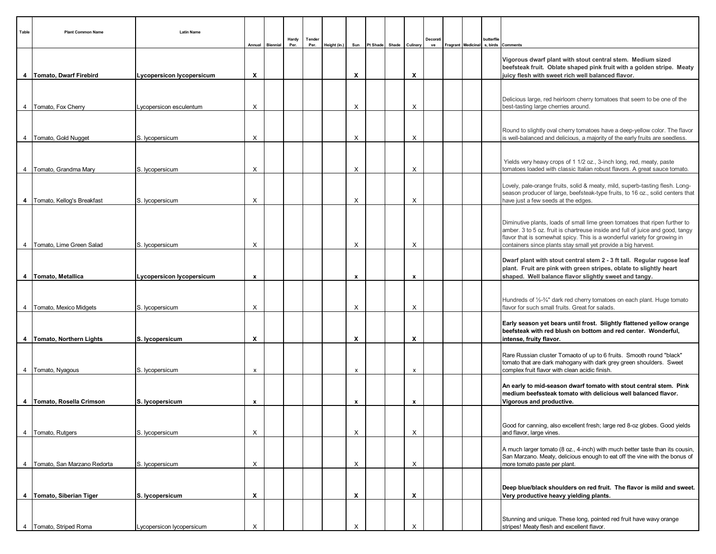| Table          | <b>Plant Common Name</b>        | <b>Latin Name</b>                | Annual                    | Biennial | Hardy<br>Per. | Tender<br>Per. | Height (in.) | Sun                       | Pt Shade | Shade | Culinary                  | Decorati<br>ve | Fragrant   Medicinal | butterflie | s. birds Comments                                                                                                                                                                                                                                                                                           |
|----------------|---------------------------------|----------------------------------|---------------------------|----------|---------------|----------------|--------------|---------------------------|----------|-------|---------------------------|----------------|----------------------|------------|-------------------------------------------------------------------------------------------------------------------------------------------------------------------------------------------------------------------------------------------------------------------------------------------------------------|
|                | 4   Tomato, Dwarf Firebird      | Lycopersicon lycopersicum        | X                         |          |               |                |              | X                         |          |       | $\boldsymbol{\mathsf{x}}$ |                |                      |            | Vigorous dwarf plant with stout central stem. Medium sized<br>beefsteak fruit. Oblate shaped pink fruit with a golden stripe. Meaty<br>juicy flesh with sweet rich well balanced flavor.                                                                                                                    |
|                | 4   Tomato, Fox Cherry          | Lycopersicon esculentum          | X                         |          |               |                |              | X                         |          |       | X                         |                |                      |            | Delicious large, red heirloom cherry tomatoes that seem to be one of the<br>best-tasting large cherries around.                                                                                                                                                                                             |
|                | 4   Tomato, Gold Nugget         | S. lycopersicum                  | X                         |          |               |                |              | X                         |          |       | X                         |                |                      |            | Round to slightly oval cherry tomatoes have a deep-yellow color. The flavor<br>is well-balanced and delicious, a majority of the early fruits are seedless.                                                                                                                                                 |
| $4 \mid$       | Tomato, Grandma Mary            | S. lycopersicum                  | X                         |          |               |                |              | X                         |          |       | X                         |                |                      |            | Yields very heavy crops of 1 1/2 oz., 3-inch long, red, meaty, paste<br>tomatoes loaded with classic Italian robust flavors. A great sauce tomato.                                                                                                                                                          |
|                | 4   Tomato, Kellog's Breakfast  | S. lycopersicum                  | X                         |          |               |                |              | X                         |          |       | X                         |                |                      |            | Lovely, pale-orange fruits, solid & meaty, mild, superb-tasting flesh. Long-<br>season producer of large, beefsteak-type fruits, to 16 oz., solid centers that<br>have just a few seeds at the edges.                                                                                                       |
|                | 4   Tomato, Lime Green Salad    | S. lycopersicum                  | X                         |          |               |                |              | X                         |          |       | X                         |                |                      |            | Diminutive plants, loads of small lime green tomatoes that ripen further to<br>amber. 3 to 5 oz. fruit is chartreuse inside and full of juice and good, tangy<br>flavor that is somewhat spicy. This is a wonderful variety for growing in<br>containers since plants stay small yet provide a big harvest. |
|                | 4   Tomato, Metallica           | <b>Lycopersicon lycopersicum</b> | $\mathbf{x}$              |          |               |                |              | x                         |          |       | x                         |                |                      |            | Dwarf plant with stout central stem 2 - 3 ft tall. Regular rugose leaf<br>plant. Fruit are pink with green stripes, oblate to slightly heart<br>shaped. Well balance flavor slightly sweet and tangy.                                                                                                       |
|                | 4   Tomato, Mexico Midgets      | S. lycopersicum                  | X                         |          |               |                |              | X                         |          |       | X                         |                |                      |            | Hundreds of 1/2-3/4" dark red cherry tomatoes on each plant. Huge tomato<br>flavor for such small fruits. Great for salads.                                                                                                                                                                                 |
|                | 4   Tomato, Northern Lights     | S. lycopersicum                  | $\boldsymbol{\mathsf{x}}$ |          |               |                |              | X                         |          |       | $\boldsymbol{\mathsf{x}}$ |                |                      |            | Early season yet bears until frost. Slightly flattened yellow orange<br>beefsteak with red blush on bottom and red center. Wonderful,<br>intense, fruity flavor.                                                                                                                                            |
|                | 4 Tomato, Nyagous               | S. lycopersicum                  | х                         |          |               |                |              | $\boldsymbol{\mathsf{x}}$ |          |       | x                         |                |                      |            | Rare Russian cluster Tomaoto of up to 6 fruits. Smooth round "black"<br>tomato that are dark mahogany with dark grey green shoulders. Sweet<br>complex fruit flavor with clean acidic finish.                                                                                                               |
|                | 4   Tomato, Rosella Crimson     | S. lycopersicum                  | x                         |          |               |                |              | x                         |          |       | x                         |                |                      |            | An early to mid-season dwarf tomato with stout central stem. Pink<br>medium beefssteak tomato with delicious well balanced flavor.<br>Vigorous and productive.                                                                                                                                              |
| $\overline{4}$ | Tomato, Rutgers                 | S. lycopersicum                  | X                         |          |               |                |              | Х                         |          |       | X                         |                |                      |            | Good for canning, also excellent fresh; large red 8-oz globes. Good yields<br>and flavor, large vines.                                                                                                                                                                                                      |
|                | 4   Tomato, San Marzano Redorta | S. lycopersicum                  | X                         |          |               |                |              | Х                         |          |       | X                         |                |                      |            | A much larger tomato (8 oz., 4-inch) with much better taste than its cousin,<br>San Marzano. Meaty, delicious enough to eat off the vine with the bonus of<br>more tomato paste per plant.                                                                                                                  |
|                | 4   Tomato, Siberian Tiger      | S. lycopersicum                  | X                         |          |               |                |              | X                         |          |       | X                         |                |                      |            | Deep blue/black shoulders on red fruit. The flavor is mild and sweet.<br>Very productive heavy yielding plants.                                                                                                                                                                                             |
|                | 4   Tomato, Striped Roma        | Lycopersicon lycopersicum        | X                         |          |               |                |              | X                         |          |       | X                         |                |                      |            | Stunning and unique. These long, pointed red fruit have wavy orange<br>stripes! Meaty flesh and excellent flavor.                                                                                                                                                                                           |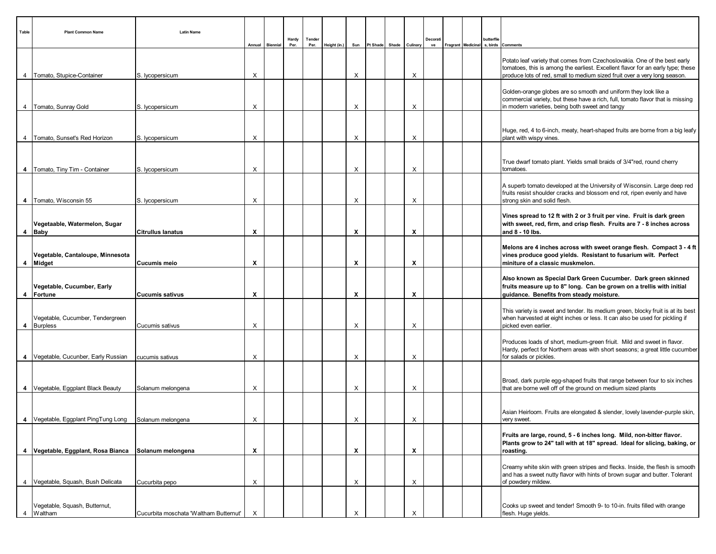| Table          | <b>Plant Common Name</b>                             | <b>Latin Name</b>                      |                           | Annual Biennial | Hardy<br>Per. | Tender<br>Per. | Height (in.) | Sun | Pt Shade | Shade | Culinary | Decorati<br>ve | Fragrant Medicinal | butterflie<br>s, birds | Comments                                                                                                                                                                                             |
|----------------|------------------------------------------------------|----------------------------------------|---------------------------|-----------------|---------------|----------------|--------------|-----|----------|-------|----------|----------------|--------------------|------------------------|------------------------------------------------------------------------------------------------------------------------------------------------------------------------------------------------------|
|                |                                                      |                                        |                           |                 |               |                |              |     |          |       |          |                |                    |                        | Potato leaf variety that comes from Czechoslovakia. One of the best early<br>tomatoes, this is among the earliest. Excellent flavor for an early type; these                                         |
| 4              | Tomato, Stupice-Container                            | S. lycopersicum                        | X                         |                 |               |                |              | X   |          |       | X        |                |                    |                        | produce lots of red, small to medium sized fruit over a very long season.                                                                                                                            |
|                | 4   Tomato, Sunray Gold                              | S. lycopersicum                        | Х                         |                 |               |                |              | X   |          |       | X        |                |                    |                        | Golden-orange globes are so smooth and uniform they look like a<br>commercial variety, but these have a rich, full, tomato flavor that is missing<br>in modern varieties, being both sweet and tangy |
|                |                                                      |                                        |                           |                 |               |                |              |     |          |       |          |                |                    |                        |                                                                                                                                                                                                      |
| $\overline{4}$ | Tomato, Sunset's Red Horizon                         | S. lycopersicum                        | X                         |                 |               |                |              | X   |          |       | X        |                |                    |                        | Huge, red, 4 to 6-inch, meaty, heart-shaped fruits are borne from a big leafy<br>plant with wispy vines.                                                                                             |
|                | 4   Tomato, Tiny Tim - Container                     | S. lycopersicum                        | х                         |                 |               |                |              | X   |          |       | X        |                |                    |                        | True dwarf tomato plant. Yields small braids of 3/4"red, round cherry<br>tomatoes.                                                                                                                   |
|                | 4   Tomato, Wisconsin 55                             | S. lycopersicum                        | X                         |                 |               |                |              | X   |          |       | X        |                |                    |                        | A superb tomato developed at the University of Wisconsin. Large deep red<br>fruits resist shoulder cracks and blossom end rot, ripen evenly and have<br>strong skin and solid flesh.                 |
|                | Vegetaable, Watermelon, Sugar                        |                                        |                           |                 |               |                |              |     |          |       |          |                |                    |                        | Vines spread to 12 ft with 2 or 3 fruit per vine. Fruit is dark green<br>with sweet, red, firm, and crisp flesh. Fruits are 7 - 8 inches across                                                      |
|                | 4 Baby                                               | <b>Citrullus lanatus</b>               | х                         |                 |               |                |              | х   |          |       | X        |                |                    |                        | and 8 - 10 lbs.                                                                                                                                                                                      |
|                | Vegetable, Cantaloupe, Minnesota<br>4 Midget         | <b>Cucumis meio</b>                    | X                         |                 |               |                |              | X   |          |       | X        |                |                    |                        | Melons are 4 inches across with sweet orange flesh. Compact 3 - 4 ft<br>vines produce good yields. Resistant to fusarium wilt. Perfect<br>miniture of a classic muskmelon.                           |
| $\overline{4}$ | Vegetable, Cucumber, Early<br>Fortune                | <b>Cucumis sativus</b>                 | Х                         |                 |               |                |              | X   |          |       | X        |                |                    |                        | Also known as Special Dark Green Cucumber. Dark green skinned<br>fruits measure up to 8" long. Can be grown on a trellis with initial<br>guidance. Benefits from steady moisture.                    |
|                | Vegetable, Cucumber, Tendergreen<br>4 Burpless       | Cucumis sativus                        | X                         |                 |               |                |              | X   |          |       | X        |                |                    |                        | This variety is sweet and tender. Its medium green, blocky fruit is at its best<br>when harvested at eight inches or less. It can also be used for pickling if<br>picked even earlier.               |
|                | 4   Vegetable, Cucunber, Early Russian               | cucumis sativus                        | X                         |                 |               |                |              | X   |          |       | X        |                |                    |                        | Produces loads of short, medium-green friuit. Mild and sweet in flavor.<br>Hardy, perfect for Northern areas with short seasons; a great little cucumber<br>for salads or pickles.                   |
|                |                                                      |                                        |                           |                 |               |                |              |     |          |       |          |                |                    |                        |                                                                                                                                                                                                      |
|                | 4   Vegetable, Eggplant Black Beauty                 | Solanum melongena                      | Х                         |                 |               |                |              | X   |          |       | X        |                |                    |                        | Broad, dark purple egg-shaped fruits that range between four to six inches<br>that are borne well off of the ground on medium sized plants                                                           |
|                | 4 Vegetable, Eggplant PingTung Long                  | Solanum melongena                      | Х                         |                 |               |                |              | X   |          |       | $\times$ |                |                    |                        | Asian Heirloom. Fruits are elongated & slender, lovely lavender-purple skin,<br>very sweet.                                                                                                          |
|                |                                                      |                                        |                           |                 |               |                |              |     |          |       |          |                |                    |                        | Fruits are large, round, 5 - 6 inches long. Mild, non-bitter flavor.<br>Plants grow to 24" tall with at 18" spread. Ideal for slicing, baking, or                                                    |
|                | 4 Vegetable, Eggplant, Rosa Bianca Solanum melongena |                                        | $\boldsymbol{\mathsf{x}}$ |                 |               |                |              | X   |          |       | X        |                |                    |                        | roasting.                                                                                                                                                                                            |
|                | 4 Vegetable, Squash, Bush Delicata                   | Cucurbita pepo                         | X                         |                 |               |                |              | X   |          |       | X        |                |                    |                        | Creamy white skin with green stripes and flecks. Inside, the flesh is smooth<br>and has a sweet nutty flavor with hints of brown sugar and butter. Tolerant<br>of powdery mildew.                    |
|                | Vegetable, Squash, Butternut,                        |                                        |                           |                 |               |                |              |     |          |       |          |                |                    |                        | Cooks up sweet and tender! Smooth 9- to 10-in. fruits filled with orange                                                                                                                             |
| $\overline{4}$ | Waltham                                              | Cucurbita moschata 'Waltham Butternut' | $\times$                  |                 |               |                |              | X   |          |       | X        |                |                    |                        | flesh. Huge yields.                                                                                                                                                                                  |